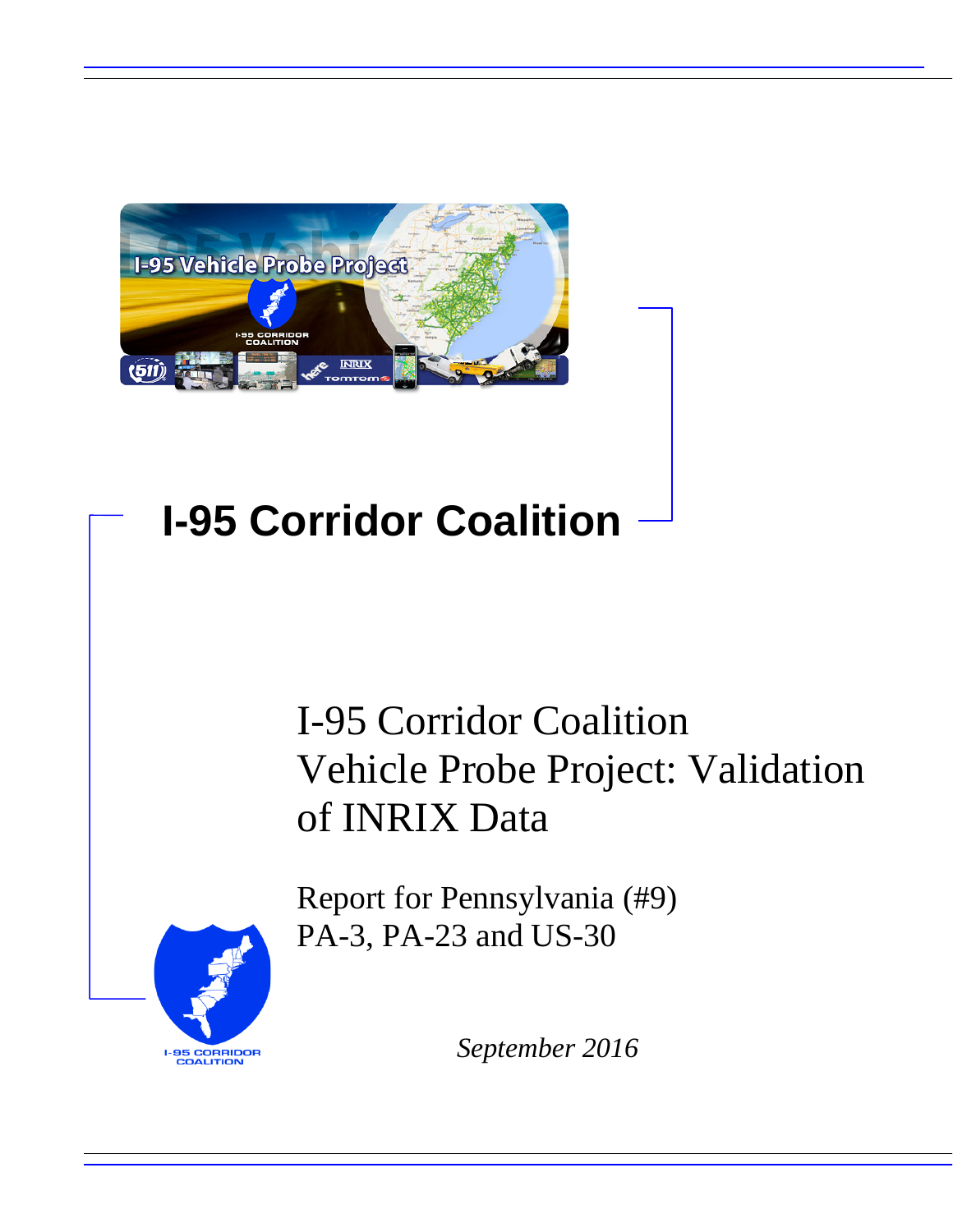

# **I-95 Corridor Coalition**

# I-95 Corridor Coalition Vehicle Probe Project: Validation of INRIX Data

Report for Pennsylvania (#9) PA-3, PA-23 and US-30



*September 2016*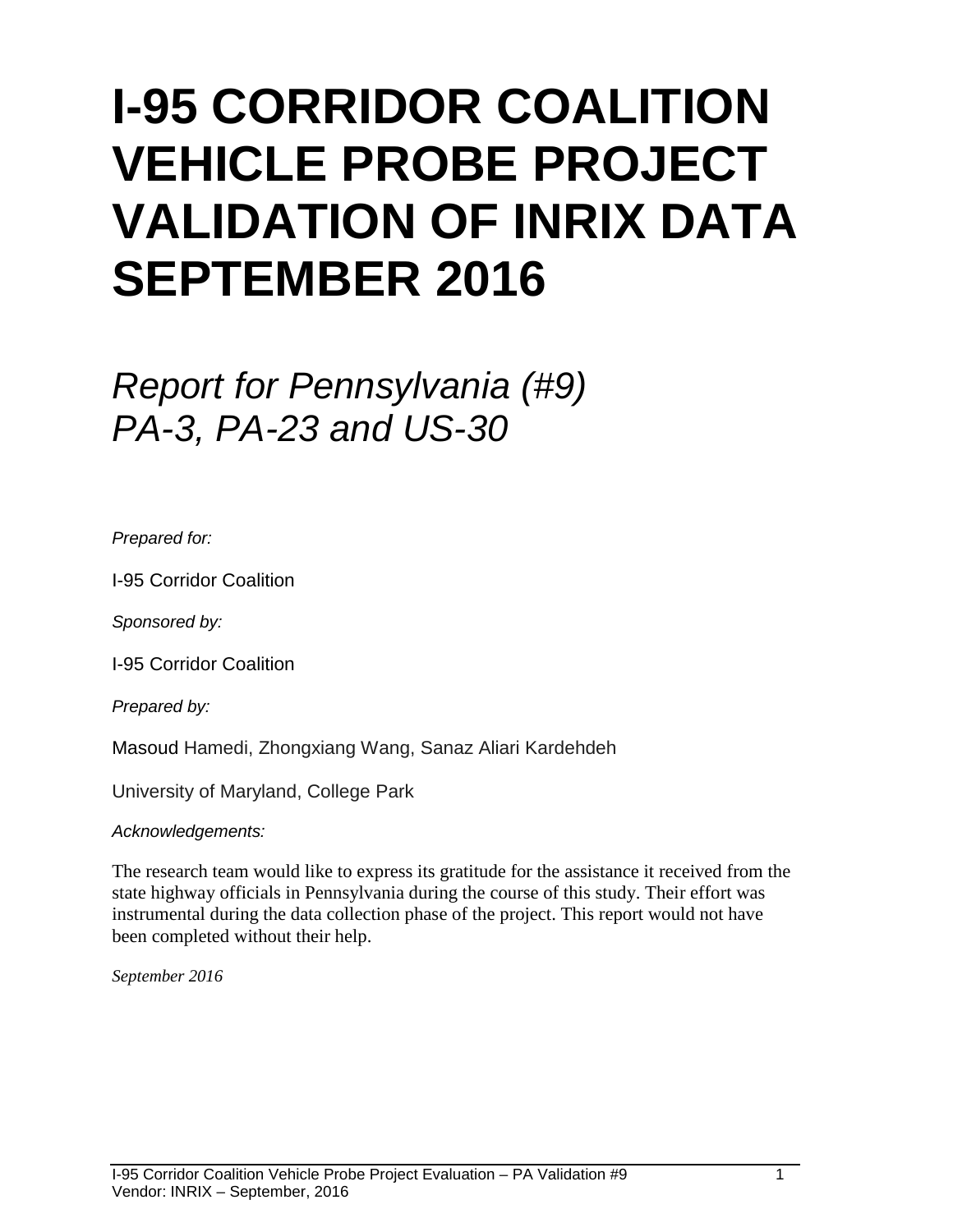# **I-95 CORRIDOR COALITION VEHICLE PROBE PROJECT VALIDATION OF INRIX DATA SEPTEMBER 2016**

# *Report for Pennsylvania (#9) PA-3, PA-23 and US-30*

*Prepared for:*

I-95 Corridor Coalition

*Sponsored by:*

I-95 Corridor Coalition

*Prepared by:*

Masoud Hamedi, Zhongxiang Wang, Sanaz Aliari Kardehdeh

University of Maryland, College Park

*Acknowledgements:*

The research team would like to express its gratitude for the assistance it received from the state highway officials in Pennsylvania during the course of this study. Their effort was instrumental during the data collection phase of the project. This report would not have been completed without their help.

*September 2016*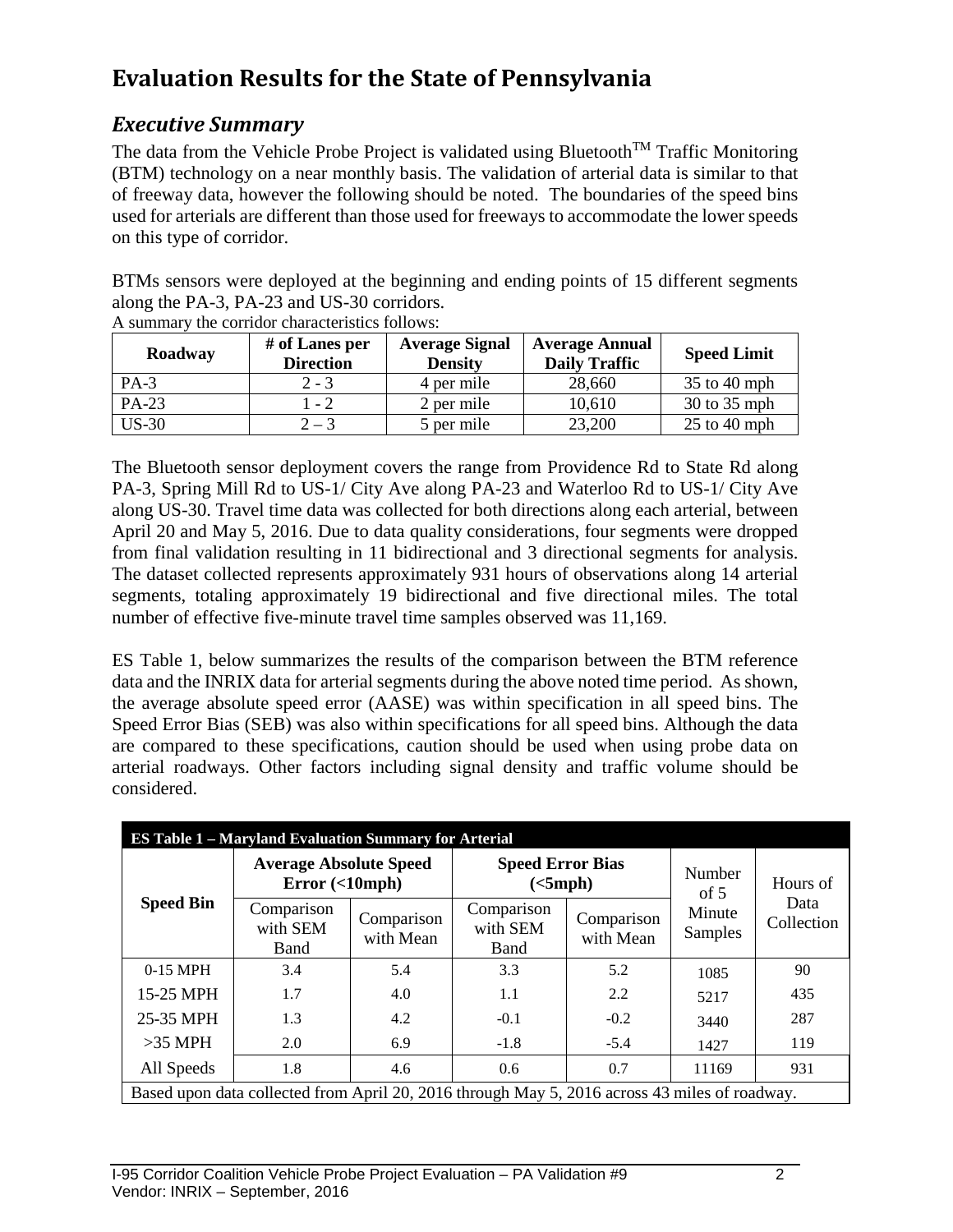## **Evaluation Results for the State of Pennsylvania**

### *Executive Summary*

The data from the Vehicle Probe Project is validated using Bluetooth<sup>TM</sup> Traffic Monitoring (BTM) technology on a near monthly basis. The validation of arterial data is similar to that of freeway data, however the following should be noted. The boundaries of the speed bins used for arterials are different than those used for freeways to accommodate the lower speeds on this type of corridor.

BTMs sensors were deployed at the beginning and ending points of 15 different segments along the PA-3, PA-23 and US-30 corridors.

| Roadway | # of Lanes per<br><b>Direction</b> | <b>Average Signal</b><br><b>Density</b> | <b>Average Annual</b><br><b>Daily Traffic</b> | <b>Speed Limit</b> |
|---------|------------------------------------|-----------------------------------------|-----------------------------------------------|--------------------|
| $PA-3$  | $2 - 3$                            | 4 per mile                              | 28,660                                        | $35$ to 40 mph     |
| PA-23   | $-2$                               | 2 per mile                              | 10,610                                        | 30 to 35 mph       |
| $US-30$ | $2 - 3$                            | 5 per mile                              | 23,200                                        | $25$ to $40$ mph   |

A summary the corridor characteristics follows:

The Bluetooth sensor deployment covers the range from Providence Rd to State Rd along PA-3, Spring Mill Rd to US-1/ City Ave along PA-23 and Waterloo Rd to US-1/ City Ave along US-30. Travel time data was collected for both directions along each arterial, between April 20 and May 5, 2016. Due to data quality considerations, four segments were dropped from final validation resulting in 11 bidirectional and 3 directional segments for analysis. The dataset collected represents approximately 931 hours of observations along 14 arterial segments, totaling approximately 19 bidirectional and five directional miles. The total number of effective five-minute travel time samples observed was 11,169.

ES Table 1, below summarizes the results of the comparison between the BTM reference data and the INRIX data for arterial segments during the above noted time period. As shown, the average absolute speed error (AASE) was within specification in all speed bins. The Speed Error Bias (SEB) was also within specifications for all speed bins. Although the data are compared to these specifications, caution should be used when using probe data on arterial roadways. Other factors including signal density and traffic volume should be considered.

|                                                                                               | <b>ES Table 1 – Maryland Evaluation Summary for Arterial</b>             |                         |                                     |                         |                          |                    |
|-----------------------------------------------------------------------------------------------|--------------------------------------------------------------------------|-------------------------|-------------------------------------|-------------------------|--------------------------|--------------------|
|                                                                                               | <b>Average Absolute Speed</b><br>Error $(\langle 10 \text{mph} \rangle)$ |                         | <b>Speed Error Bias</b><br>(<5 mph) |                         | Number<br>of $5$         | Hours of           |
| <b>Speed Bin</b>                                                                              | Comparison<br>with SEM<br>Band                                           | Comparison<br>with Mean | Comparison<br>with SEM<br>Band      | Comparison<br>with Mean | Minute<br><b>Samples</b> | Data<br>Collection |
| $0-15$ MPH                                                                                    | 3.4                                                                      | 5.4                     | 3.3                                 | 5.2                     | 1085                     | 90                 |
| 15-25 MPH                                                                                     | 1.7                                                                      | 4.0                     | 1.1                                 | 2.2                     | 5217                     | 435                |
| 25-35 MPH                                                                                     | 1.3                                                                      | 4.2                     | $-0.1$                              | $-0.2$                  | 3440                     | 287                |
| $>35$ MPH                                                                                     | 2.0                                                                      | 6.9                     | $-1.8$                              | $-5.4$                  | 1427                     | 119                |
| All Speeds                                                                                    | 1.8                                                                      | 4.6                     | 0.6                                 | 0.7                     | 11169                    | 931                |
| Based upon data collected from April 20, 2016 through May 5, 2016 across 43 miles of roadway. |                                                                          |                         |                                     |                         |                          |                    |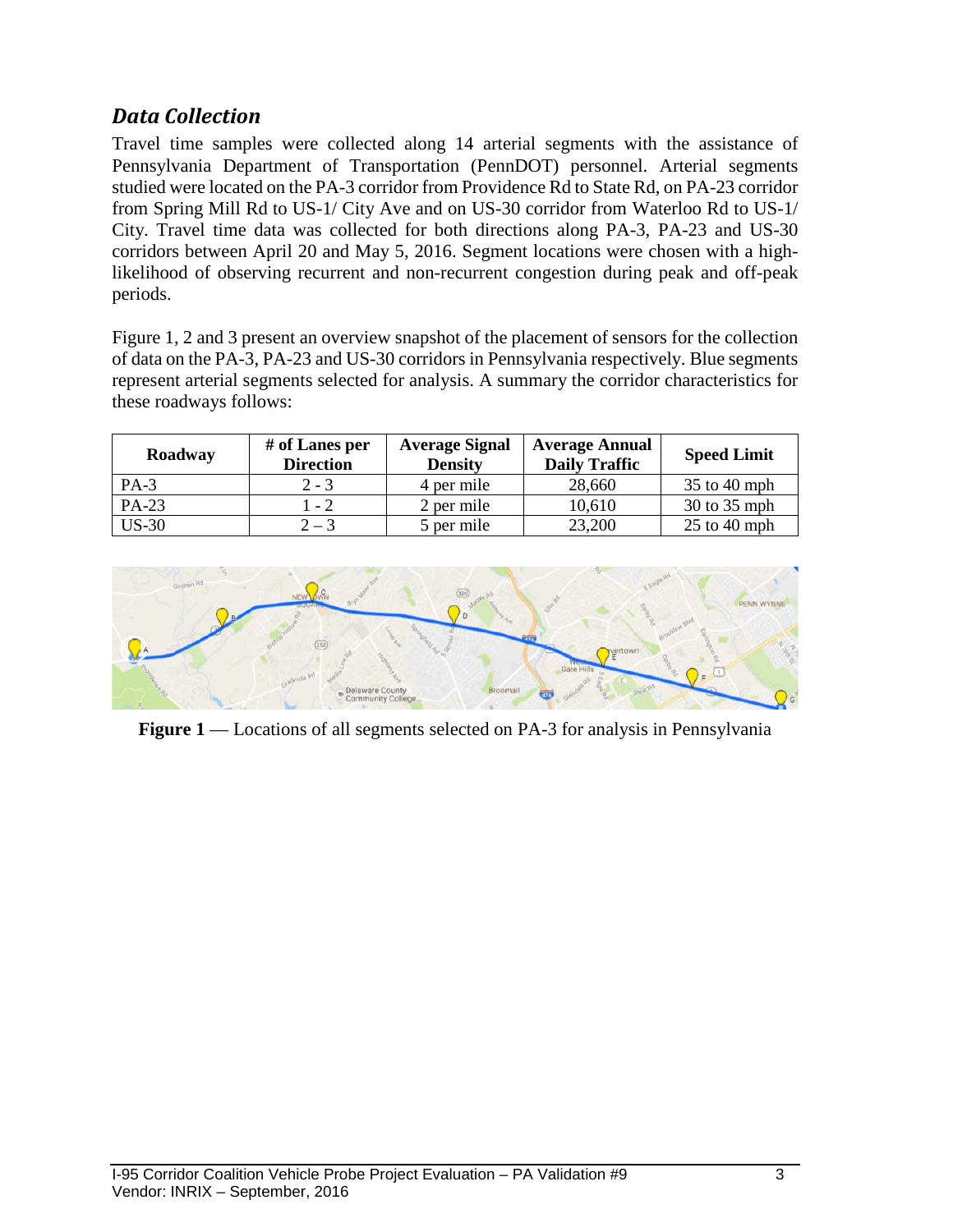### *Data Collection*

Travel time samples were collected along 14 arterial segments with the assistance of Pennsylvania Department of Transportation (PennDOT) personnel. Arterial segments studied were located on the PA-3 corridor from Providence Rd to State Rd, on PA-23 corridor from Spring Mill Rd to US-1/ City Ave and on US-30 corridor from Waterloo Rd to US-1/ City. Travel time data was collected for both directions along PA-3, PA-23 and US-30 corridors between April 20 and May 5, 2016. Segment locations were chosen with a highlikelihood of observing recurrent and non-recurrent congestion during peak and off-peak periods.

Figure 1, 2 and 3 present an overview snapshot of the placement of sensors for the collection of data on the PA-3, PA-23 and US-30 corridors in Pennsylvania respectively. Blue segments represent arterial segments selected for analysis. A summary the corridor characteristics for these roadways follows:

| Roadway | # of Lanes per<br><b>Direction</b> | <b>Average Signal</b><br><b>Density</b> | <b>Average Annual</b><br><b>Daily Traffic</b> | <b>Speed Limit</b> |
|---------|------------------------------------|-----------------------------------------|-----------------------------------------------|--------------------|
| $PA-3$  | $2 - 3$                            | 4 per mile                              | 28,660                                        | $35$ to 40 mph     |
| PA-23   | 1 - 2                              | 2 per mile                              | 10,610                                        | 30 to 35 mph       |
| $US-30$ | $2 - 3$                            | 5 per mile                              | 23,200                                        | $25$ to 40 mph     |



**Figure 1** –– Locations of all segments selected on PA-3 for analysis in Pennsylvania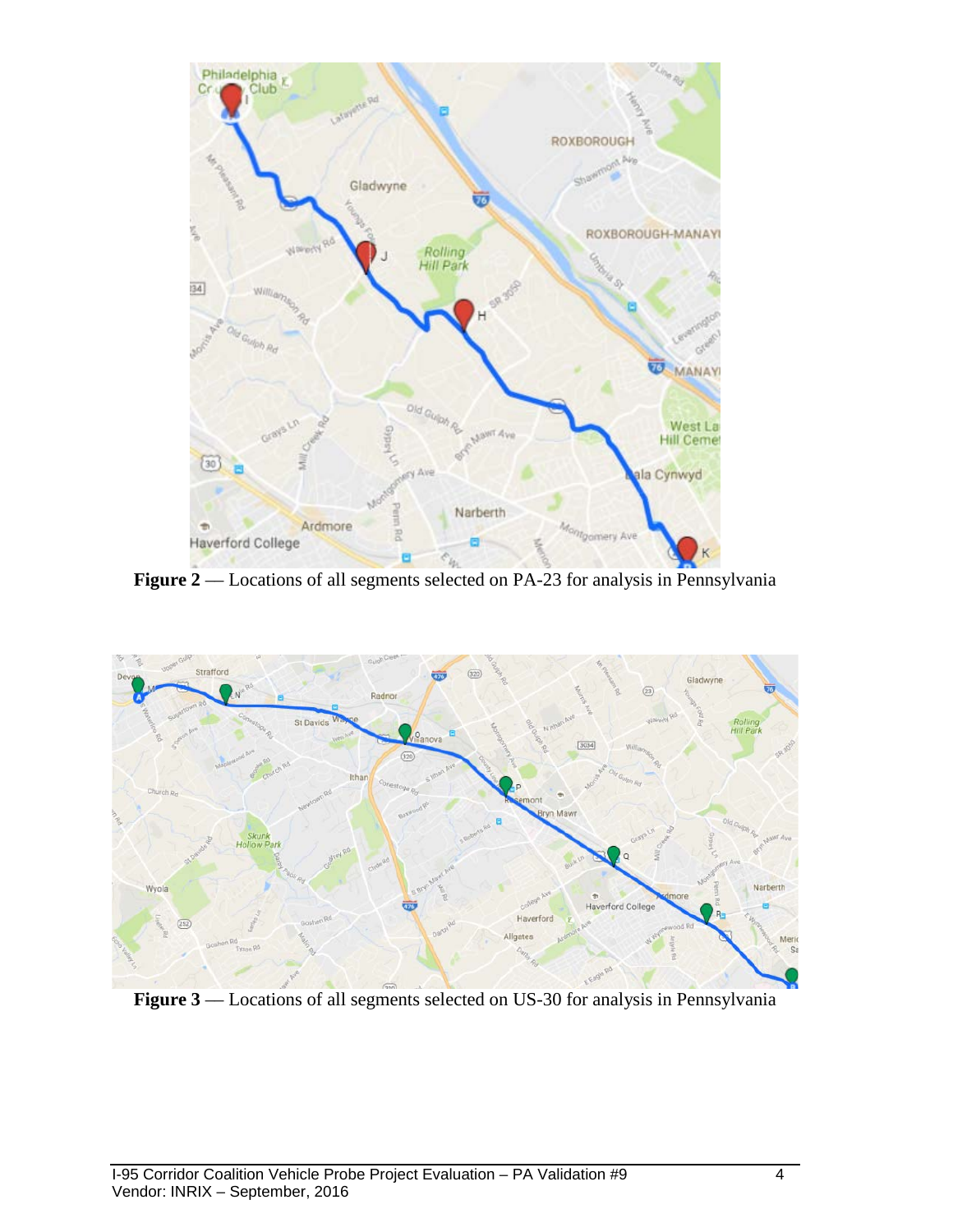



Figure 3 –– Locations of all segments selected on US-30 for analysis in Pennsylvania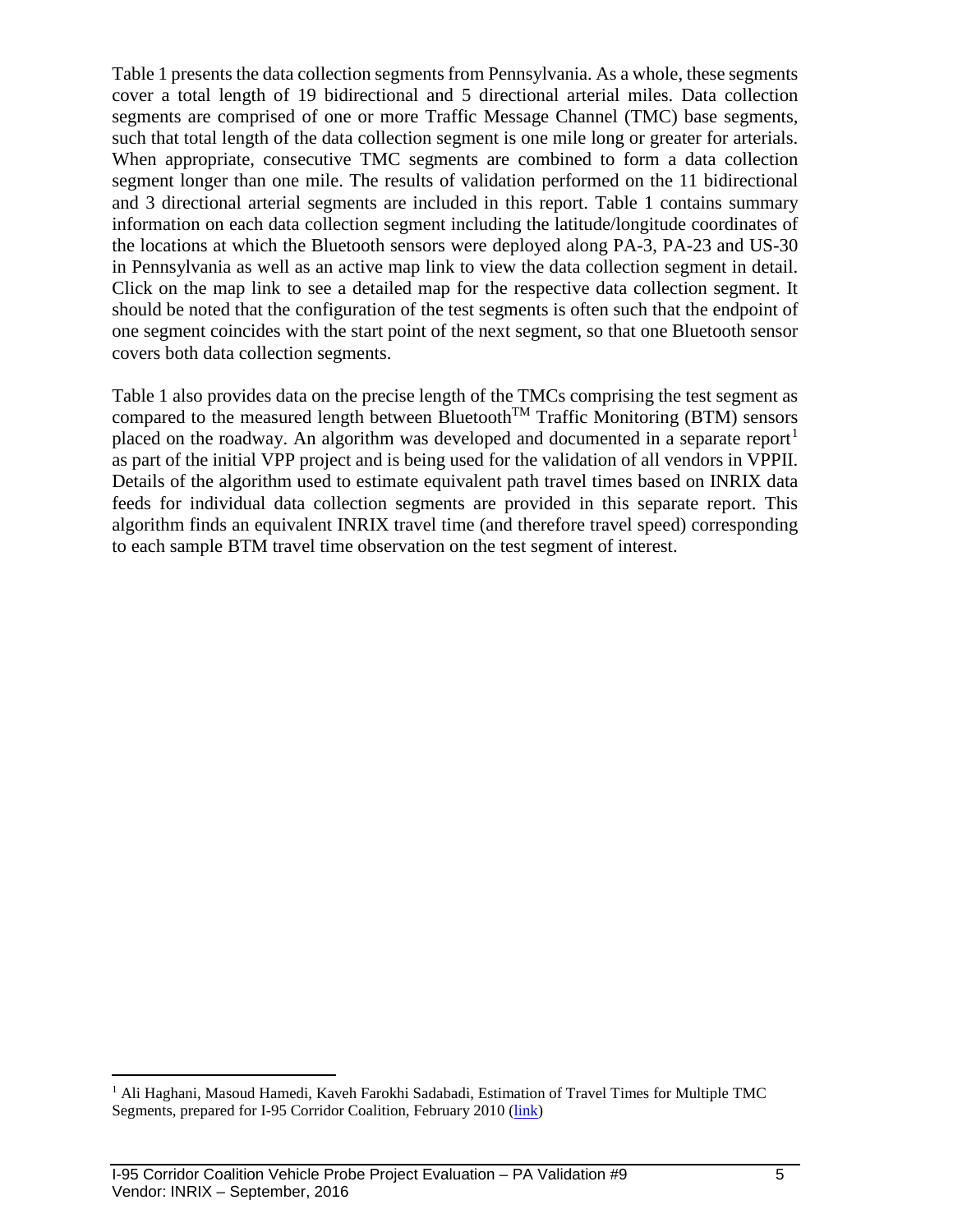Table 1 presents the data collection segments from Pennsylvania. As a whole, these segments cover a total length of 19 bidirectional and 5 directional arterial miles. Data collection segments are comprised of one or more Traffic Message Channel (TMC) base segments, such that total length of the data collection segment is one mile long or greater for arterials. When appropriate, consecutive TMC segments are combined to form a data collection segment longer than one mile. The results of validation performed on the 11 bidirectional and 3 directional arterial segments are included in this report. Table 1 contains summary information on each data collection segment including the latitude/longitude coordinates of the locations at which the Bluetooth sensors were deployed along PA-3, PA-23 and US-30 in Pennsylvania as well as an active map link to view the data collection segment in detail. Click on the map link to see a detailed map for the respective data collection segment. It should be noted that the configuration of the test segments is often such that the endpoint of one segment coincides with the start point of the next segment, so that one Bluetooth sensor covers both data collection segments.

Table 1 also provides data on the precise length of the TMCs comprising the test segment as compared to the measured length between Bluetooth<sup>TM</sup> Traffic Monitoring (BTM) sensors placed on the roadway. An algorithm was developed and documented in a separate report<sup>[1](#page-5-0)</sup> as part of the initial VPP project and is being used for the validation of all vendors in VPPII. Details of the algorithm used to estimate equivalent path travel times based on INRIX data feeds for individual data collection segments are provided in this separate report. This algorithm finds an equivalent INRIX travel time (and therefore travel speed) corresponding to each sample BTM travel time observation on the test segment of interest.

<span id="page-5-0"></span><sup>&</sup>lt;sup>1</sup> Ali Haghani, Masoud Hamedi, Kaveh Farokhi Sadabadi, Estimation of Travel Times for Multiple TMC Segments, prepared for I-95 Corridor Coalition, February 2010 [\(link\)](http://www.i95coalition.org/wp-content/uploads/2015/02/I-95-CC-Estimation-of-Travel-Times-for-Multiple-TMC-Segments-FINAL2.pdf)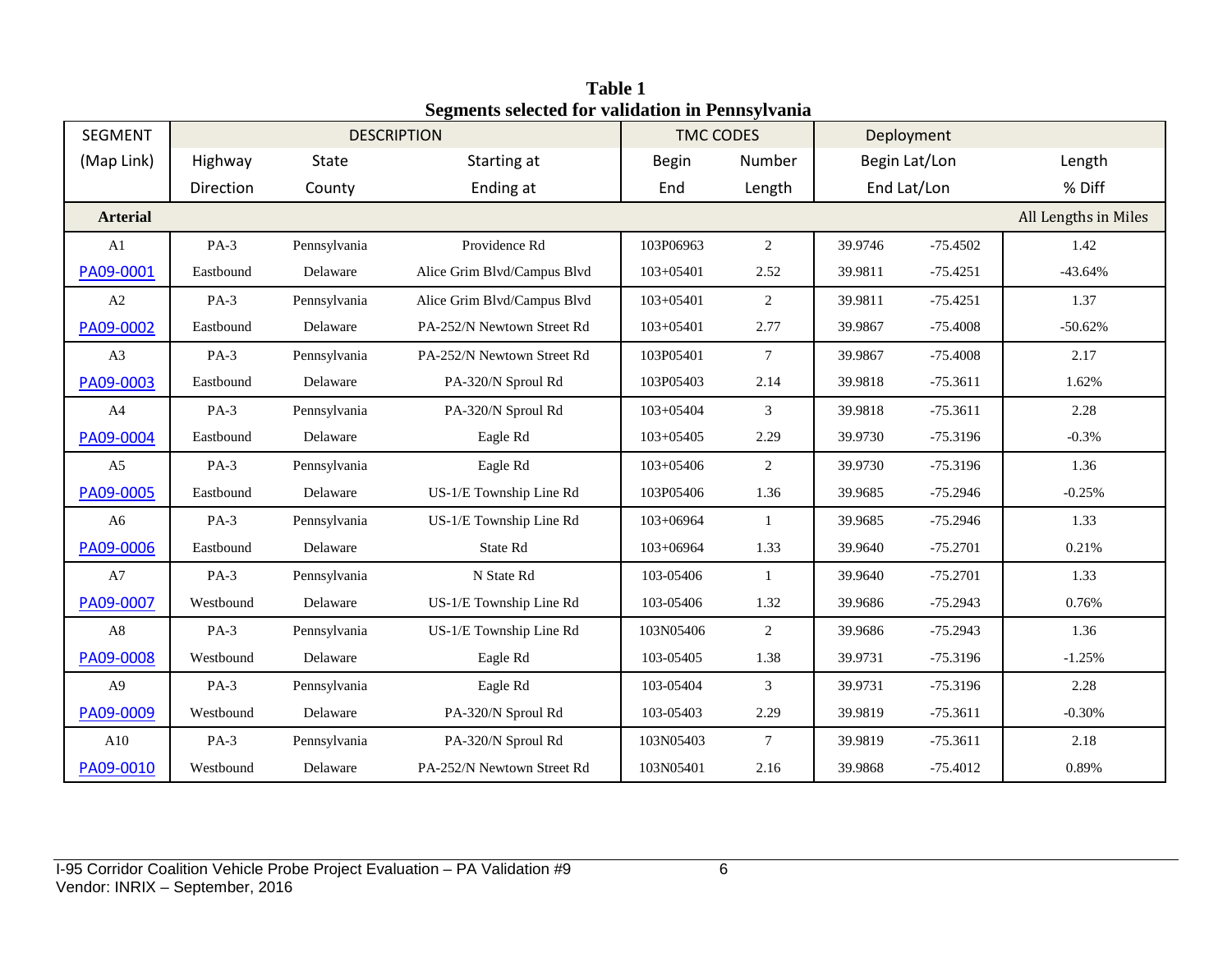| <b>SEGMENT</b>  |           |              | <b>DESCRIPTION</b>          | <b>TMC CODES</b>              |                 | Deployment  |               |                      |
|-----------------|-----------|--------------|-----------------------------|-------------------------------|-----------------|-------------|---------------|----------------------|
| (Map Link)      | Highway   | State        | Starting at                 | <b>Begin</b>                  | Number          |             | Begin Lat/Lon | Length               |
|                 | Direction | County       | Ending at                   | End                           | Length          | End Lat/Lon |               | % Diff               |
| <b>Arterial</b> |           |              |                             |                               |                 |             |               | All Lengths in Miles |
| A1              | $PA-3$    | Pennsylvania | Providence Rd               | 103P06963                     | 2               | 39.9746     | $-75.4502$    | 1.42                 |
| PA09-0001       | Eastbound | Delaware     | Alice Grim Blvd/Campus Blvd | $103 + 05401$                 | 2.52            | 39.9811     | $-75.4251$    | $-43.64%$            |
| A2              | $PA-3$    | Pennsylvania | Alice Grim Blvd/Campus Blvd | $103+05401$                   | 2               | 39.9811     | $-75.4251$    | 1.37                 |
| PA09-0002       | Eastbound | Delaware     | PA-252/N Newtown Street Rd  | 103+05401                     | 2.77            | 39.9867     | $-75.4008$    | $-50.62%$            |
| A3              | $PA-3$    | Pennsylvania | PA-252/N Newtown Street Rd  | 103P05401                     | $\tau$          | 39.9867     | $-75.4008$    | 2.17                 |
| PA09-0003       | Eastbound | Delaware     | PA-320/N Sproul Rd          | 103P05403                     | 2.14            | 39.9818     | $-75.3611$    | 1.62%                |
| A4              | $PA-3$    | Pennsylvania | PA-320/N Sproul Rd          | 3<br>39.9818<br>$103 + 05404$ |                 |             | $-75.3611$    | 2.28                 |
| PA09-0004       | Eastbound | Delaware     | Eagle Rd                    | 103+05405                     | 2.29            | 39.9730     | $-75.3196$    | $-0.3\%$             |
| A <sub>5</sub>  | $PA-3$    | Pennsylvania | Eagle Rd                    | 103+05406                     | $\overline{2}$  | 39.9730     | $-75.3196$    | 1.36                 |
| PA09-0005       | Eastbound | Delaware     | US-1/E Township Line Rd     | 103P05406                     | 1.36            | 39.9685     | $-75.2946$    | $-0.25%$             |
| A <sub>6</sub>  | $PA-3$    | Pennsylvania | US-1/E Township Line Rd     | 103+06964                     | $\mathbf{1}$    | 39.9685     | $-75.2946$    | 1.33                 |
| PA09-0006       | Eastbound | Delaware     | State Rd                    | 103+06964                     | 1.33            | 39.9640     | $-75.2701$    | 0.21%                |
| $\rm A7$        | $PA-3$    | Pennsylvania | N State Rd                  | 103-05406                     | 1               | 39.9640     | $-75.2701$    | 1.33                 |
| PA09-0007       | Westbound | Delaware     | US-1/E Township Line Rd     | 103-05406                     | 1.32            | 39.9686     | $-75.2943$    | 0.76%                |
| A8              | $PA-3$    | Pennsylvania | US-1/E Township Line Rd     | 103N05406                     | $\overline{2}$  | 39.9686     | $-75.2943$    | 1.36                 |
| PA09-0008       | Westbound | Delaware     | Eagle Rd                    | 103-05405                     | 1.38            | 39.9731     | $-75.3196$    | $-1.25%$             |
| A <sub>9</sub>  | $PA-3$    | Pennsylvania | Eagle Rd                    | 103-05404                     | 3               | 39.9731     | $-75.3196$    | 2.28                 |
| PA09-0009       | Westbound | Delaware     | PA-320/N Sproul Rd          | 103-05403                     | 2.29            | 39.9819     | $-75.3611$    | $-0.30%$             |
| A10             | $PA-3$    | Pennsylvania | PA-320/N Sproul Rd          | 103N05403                     | $7\phantom{.0}$ | 39.9819     | $-75.3611$    | 2.18                 |
| PA09-0010       | Westbound | Delaware     | PA-252/N Newtown Street Rd  | 103N05401                     | 2.16            | 39.9868     | $-75.4012$    | 0.89%                |

**Table 1 Segments selected for validation in Pennsylvania**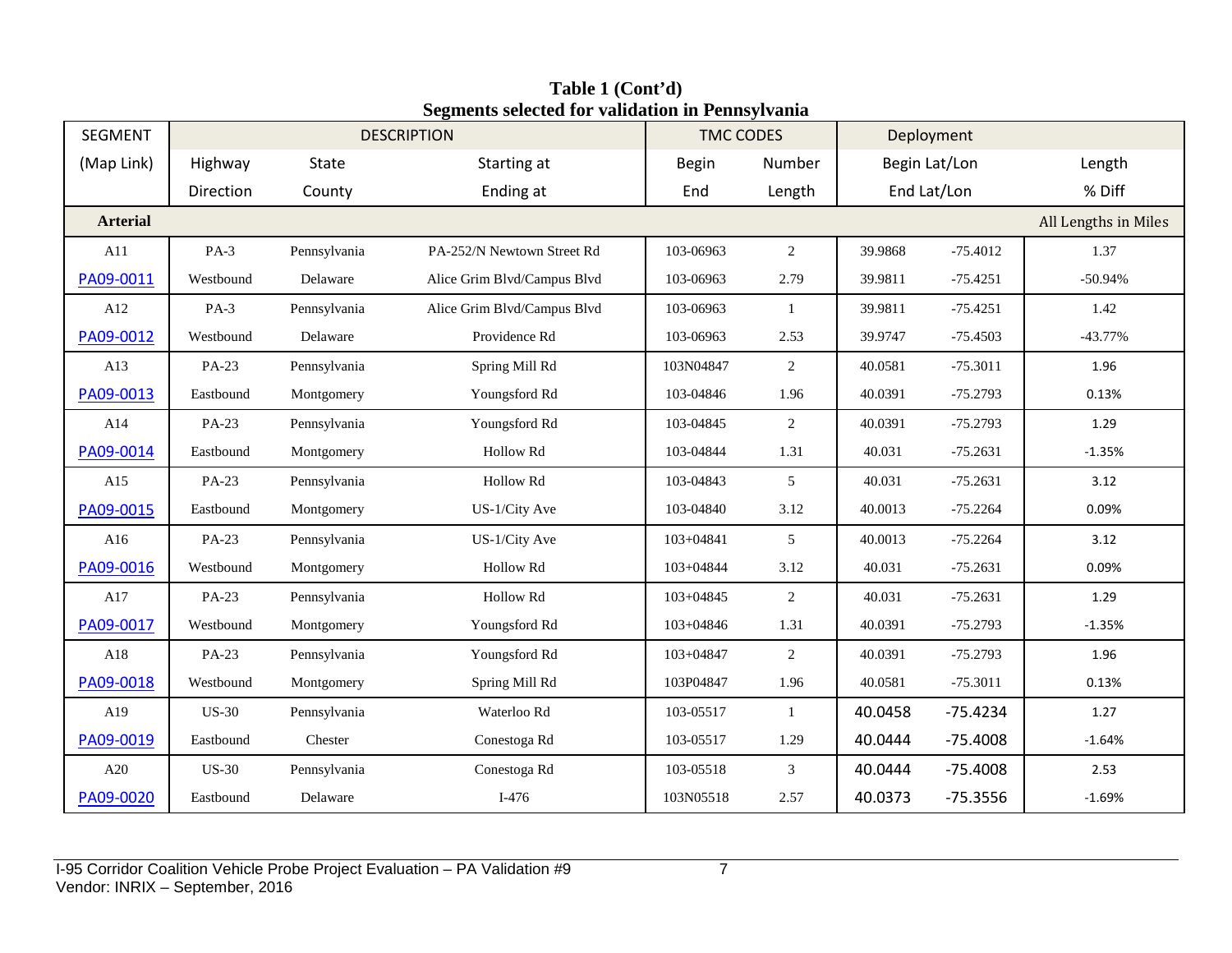| SEGMENT         |              |                  | $\sim$ gritting bettered for vanuation in 1 ching ryunna<br><b>DESCRIPTION</b> | <b>TMC CODES</b> |              |         | Deployment    |                      |
|-----------------|--------------|------------------|--------------------------------------------------------------------------------|------------------|--------------|---------|---------------|----------------------|
| (Map Link)      | Highway      | State            | Starting at                                                                    | <b>Begin</b>     | Number       |         | Begin Lat/Lon | Length               |
|                 | Direction    | County           | Ending at                                                                      | End              | Length       |         | End Lat/Lon   | % Diff               |
| <b>Arterial</b> |              |                  |                                                                                |                  |              |         |               | All Lengths in Miles |
| A11             | $PA-3$       | Pennsylvania     | PA-252/N Newtown Street Rd                                                     | 103-06963        | 2            | 39.9868 | $-75.4012$    | 1.37                 |
| PA09-0011       | Westbound    | Delaware         | Alice Grim Blvd/Campus Blvd                                                    | 103-06963        | 2.79         | 39.9811 | $-75.4251$    | $-50.94%$            |
| A12             | $PA-3$       | Pennsylvania     | Alice Grim Blvd/Campus Blvd                                                    | 103-06963        | $\mathbf{1}$ | 39.9811 | $-75.4251$    | 1.42                 |
| PA09-0012       | Westbound    | Delaware         | Providence Rd                                                                  | 103-06963        | 2.53         | 39.9747 | $-75.4503$    | $-43.77%$            |
| A13             | PA-23        | Pennsylvania     | Spring Mill Rd                                                                 | 103N04847        | 2            | 40.0581 | $-75.3011$    | 1.96                 |
| PA09-0013       | Eastbound    | Montgomery       | Youngsford Rd                                                                  | 103-04846        | 1.96         | 40.0391 | $-75.2793$    | 0.13%                |
| A14             | PA-23        | Pennsylvania     | Youngsford Rd                                                                  | 103-04845        | 2            | 40.0391 | $-75.2793$    | 1.29                 |
| PA09-0014       | Eastbound    | Montgomery       | Hollow Rd                                                                      | 103-04844        | 1.31         | 40.031  | $-75.2631$    | $-1.35%$             |
| A15             | PA-23        | Pennsylvania     | Hollow Rd                                                                      | 103-04843        | 5            | 40.031  | $-75.2631$    | 3.12                 |
| PA09-0015       | Eastbound    | Montgomery       | US-1/City Ave                                                                  | 103-04840        | 3.12         | 40.0013 | $-75.2264$    | 0.09%                |
| A16             | PA-23        | Pennsylvania     | US-1/City Ave                                                                  | 103+04841        | 5            | 40.0013 | $-75.2264$    | 3.12                 |
| PA09-0016       | Westbound    | Montgomery       | Hollow Rd                                                                      | 103+04844        | 3.12         | 40.031  | $-75.2631$    | 0.09%                |
| A17             | PA-23        | Pennsylvania     | Hollow Rd                                                                      | 103+04845        | 2            | 40.031  | $-75.2631$    | 1.29                 |
| PA09-0017       | Westbound    | Montgomery       | Youngsford Rd                                                                  | 103+04846        | 1.31         | 40.0391 | $-75.2793$    | $-1.35%$             |
| A18             | PA-23        | Pennsylvania     | Youngsford Rd                                                                  | 103+04847        | 2            | 40.0391 | $-75.2793$    | 1.96                 |
| PA09-0018       | Westbound    | Montgomery       | Spring Mill Rd                                                                 | 103P04847        | 1.96         | 40.0581 | $-75.3011$    | 0.13%                |
| A19             | <b>US-30</b> | Pennsylvania     | Waterloo Rd                                                                    | 103-05517        | 1            | 40.0458 | $-75.4234$    | 1.27                 |
| PA09-0019       | Eastbound    | $\emph{Chester}$ | Conestoga Rd                                                                   | 103-05517        | 1.29         | 40.0444 | $-75.4008$    | $-1.64%$             |
| A20             | <b>US-30</b> | Pennsylvania     | Conestoga Rd                                                                   | 103-05518        | 3            | 40.0444 | $-75.4008$    | 2.53                 |
| PA09-0020       | Eastbound    | Delaware         | $I-476$                                                                        | 103N05518        | 2.57         | 40.0373 | $-75.3556$    | $-1.69%$             |

**Table 1 (Cont'd) Segments selected for validation in Pennsylvania**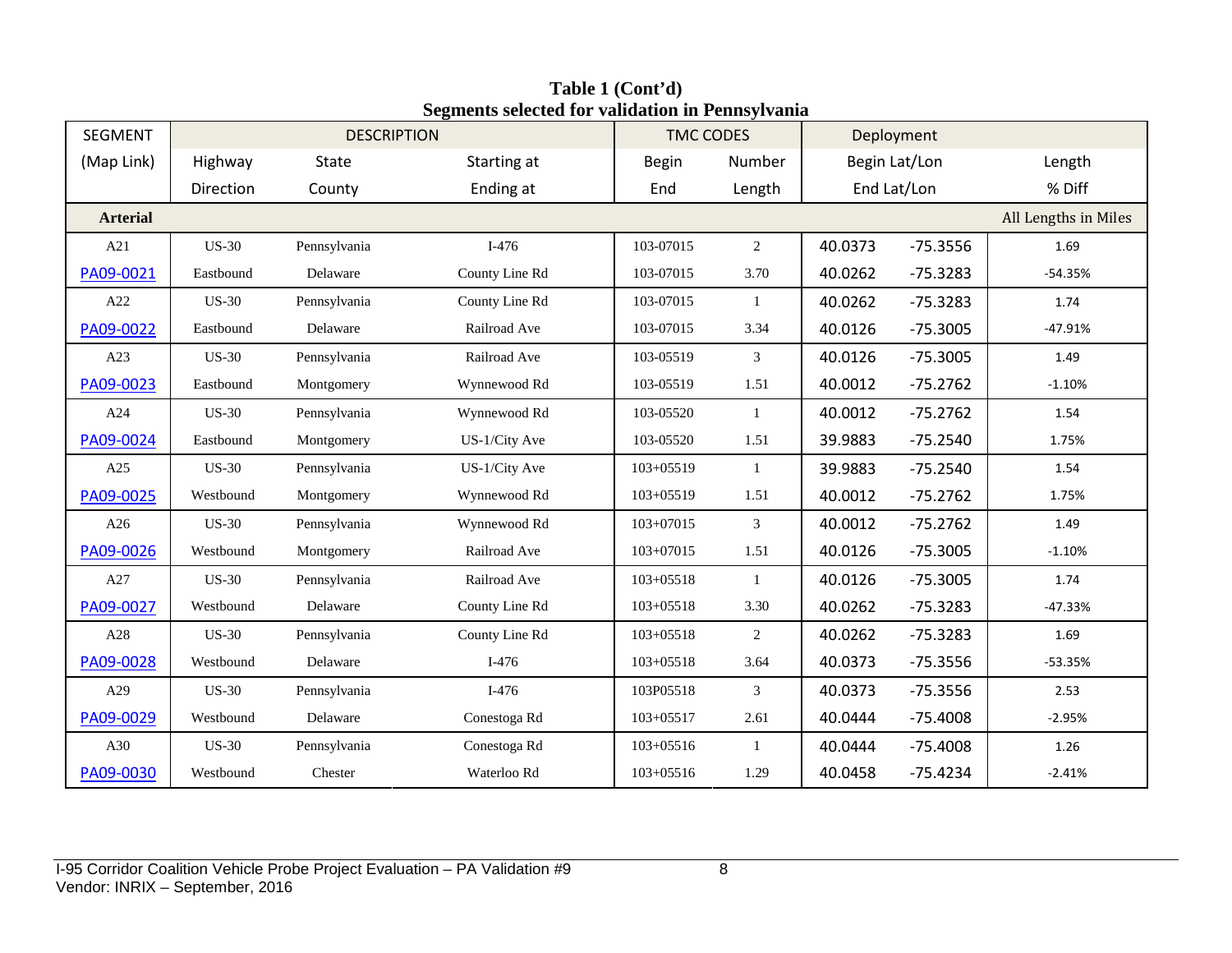| <b>SEGMENT</b>  | <b>DESCRIPTION</b> |              |                | <b>TMC CODES</b> |                |             | Deployment    |                      |
|-----------------|--------------------|--------------|----------------|------------------|----------------|-------------|---------------|----------------------|
| (Map Link)      | Highway            | State        | Starting at    | <b>Begin</b>     | Number         |             | Begin Lat/Lon | Length               |
|                 | Direction          | County       | Ending at      | End              | Length         | End Lat/Lon |               | % Diff               |
| <b>Arterial</b> |                    |              |                |                  |                |             |               | All Lengths in Miles |
| A21             | <b>US-30</b>       | Pennsylvania | $I-476$        | 103-07015        | $\overline{2}$ | 40.0373     | $-75.3556$    | 1.69                 |
| PA09-0021       | Eastbound          | Delaware     | County Line Rd | 103-07015        | 3.70           | 40.0262     | $-75.3283$    | $-54.35%$            |
| A22             | <b>US-30</b>       | Pennsylvania | County Line Rd | 103-07015        | $\mathbf{1}$   | 40.0262     | $-75.3283$    | 1.74                 |
| PA09-0022       | Eastbound          | Delaware     | Railroad Ave   | 103-07015        | 3.34           | 40.0126     | $-75.3005$    | $-47.91%$            |
| A23             | <b>US-30</b>       | Pennsylvania | Railroad Ave   | 103-05519        | $\mathfrak{Z}$ | 40.0126     | $-75.3005$    | 1.49                 |
| PA09-0023       | Eastbound          | Montgomery   | Wynnewood Rd   | 103-05519        | 1.51           | 40.0012     | $-75.2762$    | $-1.10%$             |
| A24             | <b>US-30</b>       | Pennsylvania | Wynnewood Rd   | 103-05520        | $\mathbf{1}$   | 40.0012     | $-75.2762$    | 1.54                 |
| PA09-0024       | Eastbound          | Montgomery   | US-1/City Ave  | 103-05520        | 1.51           | 39.9883     | $-75.2540$    | 1.75%                |
| A25             | <b>US-30</b>       | Pennsylvania | US-1/City Ave  | $103 + 05519$    | $\mathbf{1}$   | 39.9883     | $-75.2540$    | 1.54                 |
| PA09-0025       | Westbound          | Montgomery   | Wynnewood Rd   | $103 + 05519$    | 1.51           | 40.0012     | $-75.2762$    | 1.75%                |
| A26             | <b>US-30</b>       | Pennsylvania | Wynnewood Rd   | 103+07015        | 3              | 40.0012     | $-75.2762$    | 1.49                 |
| PA09-0026       | Westbound          | Montgomery   | Railroad Ave   | 103+07015        | 1.51           | 40.0126     | $-75.3005$    | $-1.10%$             |
| A27             | <b>US-30</b>       | Pennsylvania | Railroad Ave   | 103+05518        | $\mathbf{1}$   | 40.0126     | $-75.3005$    | 1.74                 |
| PA09-0027       | Westbound          | Delaware     | County Line Rd | $103 + 05518$    | 3.30           | 40.0262     | $-75.3283$    | $-47.33%$            |
| $\rm A28$       | <b>US-30</b>       | Pennsylvania | County Line Rd | 103+05518        | $\overline{2}$ | 40.0262     | $-75.3283$    | 1.69                 |
| PA09-0028       | Westbound          | Delaware     | $I-476$        | 103+05518        | 3.64           | 40.0373     | $-75.3556$    | $-53.35%$            |
| A29             | <b>US-30</b>       | Pennsylvania | $I-476$        | 103P05518        | 3              | 40.0373     | $-75.3556$    | 2.53                 |
| PA09-0029       | Westbound          | Delaware     | Conestoga Rd   | $103 + 05517$    | 2.61           | 40.0444     | $-75.4008$    | $-2.95%$             |
| A30             | <b>US-30</b>       | Pennsylvania | Conestoga Rd   | 103+05516        | -1             | 40.0444     | $-75.4008$    | 1.26                 |
| PA09-0030       | Westbound          | Chester      | Waterloo Rd    | $103 + 05516$    | 1.29           | 40.0458     | $-75.4234$    | $-2.41%$             |

**Table 1 (Cont'd) Segments selected for validation in Pennsylvania**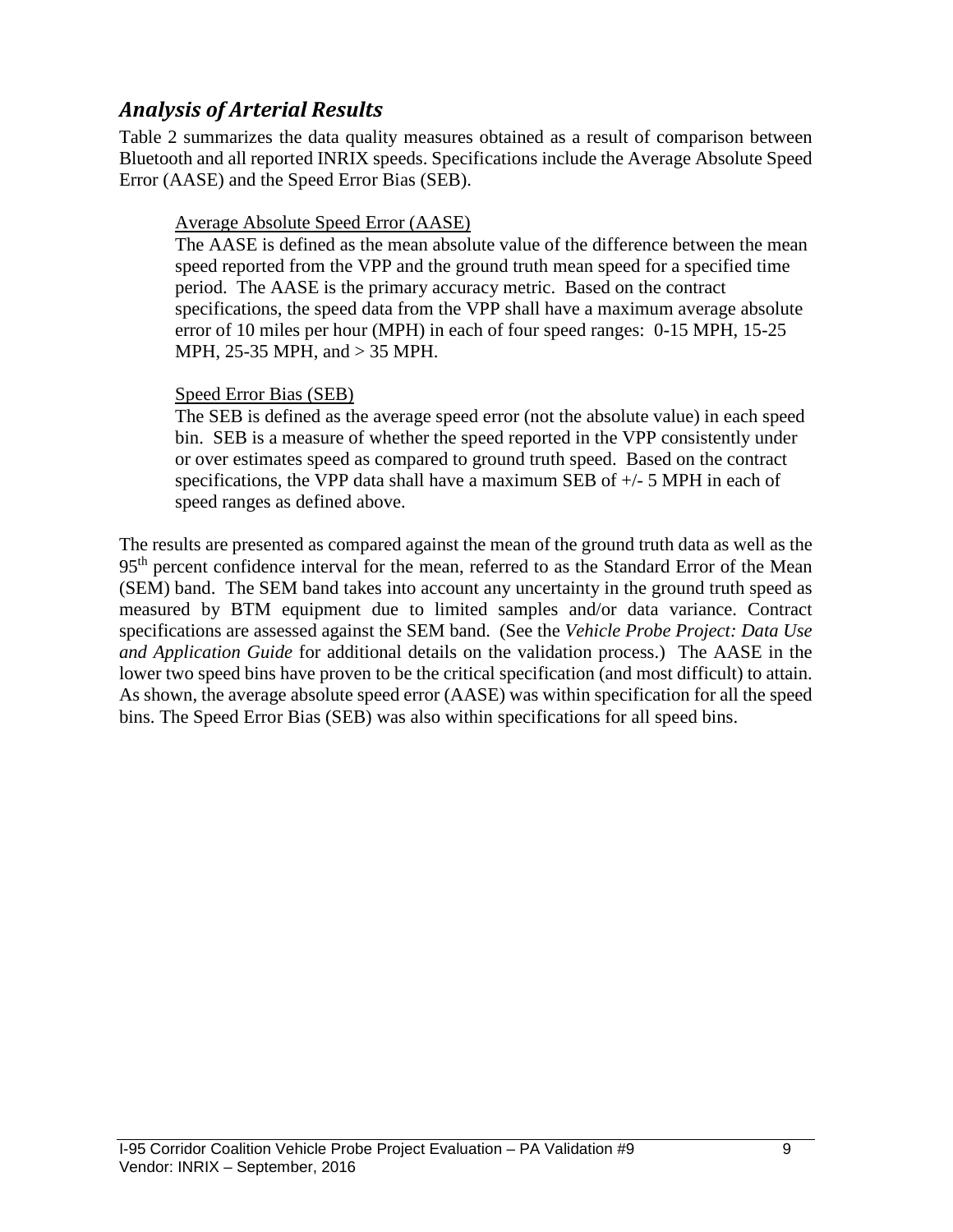## *Analysis of Arterial Results*

Table 2 summarizes the data quality measures obtained as a result of comparison between Bluetooth and all reported INRIX speeds. Specifications include the Average Absolute Speed Error (AASE) and the Speed Error Bias (SEB).

#### Average Absolute Speed Error (AASE)

The AASE is defined as the mean absolute value of the difference between the mean speed reported from the VPP and the ground truth mean speed for a specified time period. The AASE is the primary accuracy metric. Based on the contract specifications, the speed data from the VPP shall have a maximum average absolute error of 10 miles per hour (MPH) in each of four speed ranges: 0-15 MPH, 15-25 MPH, 25-35 MPH, and > 35 MPH.

#### Speed Error Bias (SEB)

The SEB is defined as the average speed error (not the absolute value) in each speed bin. SEB is a measure of whether the speed reported in the VPP consistently under or over estimates speed as compared to ground truth speed. Based on the contract specifications, the VPP data shall have a maximum SEB of  $+/-$  5 MPH in each of speed ranges as defined above.

The results are presented as compared against the mean of the ground truth data as well as the 95<sup>th</sup> percent confidence interval for the mean, referred to as the Standard Error of the Mean (SEM) band. The SEM band takes into account any uncertainty in the ground truth speed as measured by BTM equipment due to limited samples and/or data variance. Contract specifications are assessed against the SEM band. (See the *Vehicle Probe Project: Data Use and Application Guide* for additional details on the validation process.) The AASE in the lower two speed bins have proven to be the critical specification (and most difficult) to attain. As shown, the average absolute speed error (AASE) was within specification for all the speed bins. The Speed Error Bias (SEB) was also within specifications for all speed bins.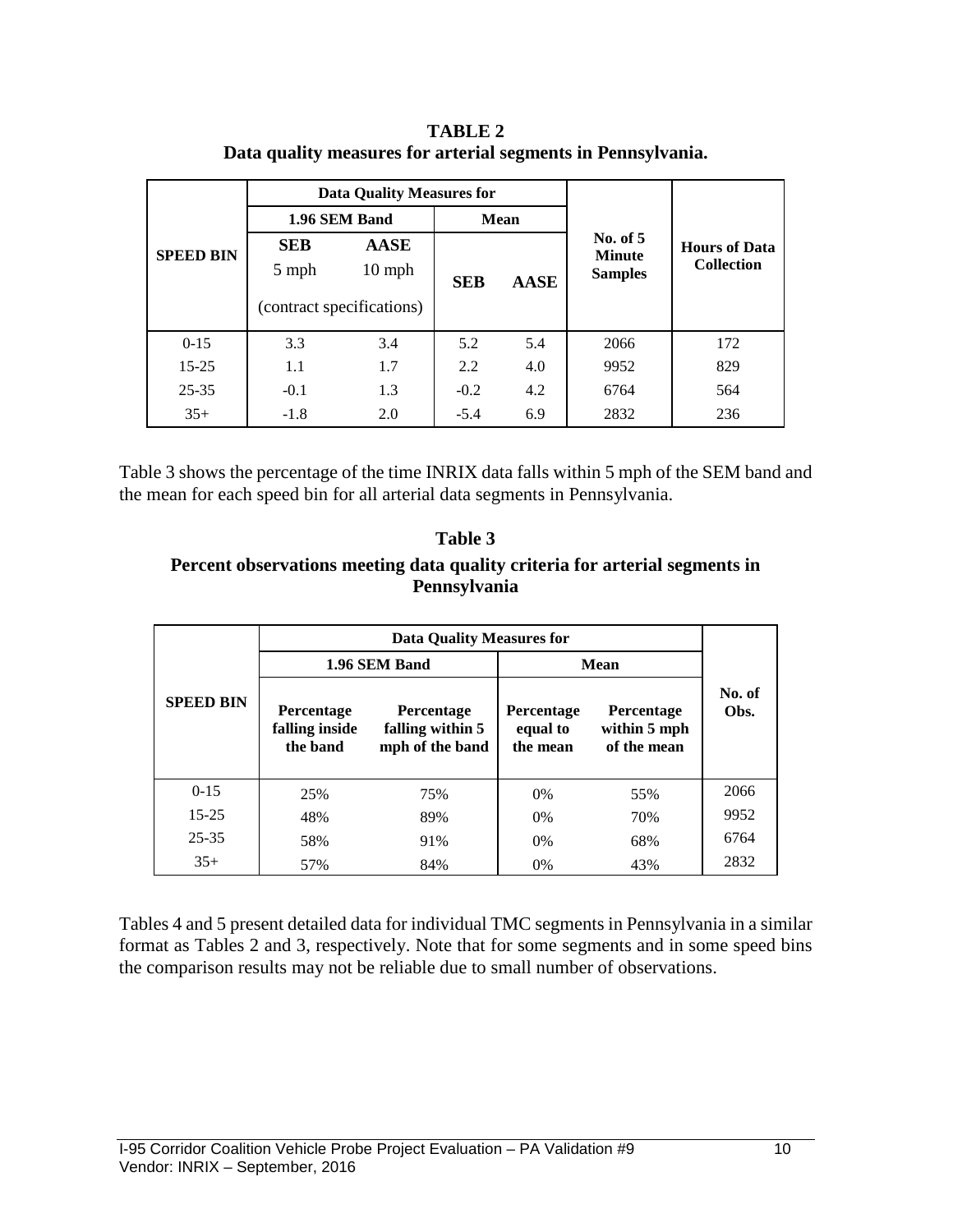**TABLE 2 Data quality measures for arterial segments in Pennsylvania.**

|                                         |                           | Data Quality Measures for |            |             |                                               |                                           |  |
|-----------------------------------------|---------------------------|---------------------------|------------|-------------|-----------------------------------------------|-------------------------------------------|--|
|                                         |                           | 1.96 SEM Band             |            | <b>Mean</b> |                                               |                                           |  |
| <b>SEB</b><br><b>SPEED BIN</b><br>5 mph |                           | <b>AASE</b><br>$10$ mph   | <b>SEB</b> | <b>AASE</b> | No. of $5$<br><b>Minute</b><br><b>Samples</b> | <b>Hours of Data</b><br><b>Collection</b> |  |
|                                         | (contract specifications) |                           |            |             |                                               |                                           |  |
| $0 - 15$                                | 3.3                       | 3.4                       | 5.2        | 5.4         | 2066                                          | 172                                       |  |
| $15 - 25$                               | 1.1                       | 1.7                       | 2.2        | 4.0         | 9952                                          | 829                                       |  |
| $25 - 35$                               | $-0.1$                    | 1.3                       | $-0.2$     | 4.2         | 6764                                          | 564                                       |  |
| $35+$                                   | $-1.8$                    | 2.0                       | $-5.4$     | 6.9         | 2832                                          | 236                                       |  |

Table 3 shows the percentage of the time INRIX data falls within 5 mph of the SEM band and the mean for each speed bin for all arterial data segments in Pennsylvania.

#### **Table 3 Percent observations meeting data quality criteria for arterial segments in Pennsylvania**

|                  |                                          | Data Quality Measures for                                |                                    |                                           |                |
|------------------|------------------------------------------|----------------------------------------------------------|------------------------------------|-------------------------------------------|----------------|
|                  |                                          | 1.96 SEM Band                                            | <b>Mean</b>                        |                                           |                |
| <b>SPEED BIN</b> | Percentage<br>falling inside<br>the band | <b>Percentage</b><br>falling within 5<br>mph of the band | Percentage<br>equal to<br>the mean | Percentage<br>within 5 mph<br>of the mean | No. of<br>Obs. |
| $0 - 15$         | 25%                                      | 75%                                                      | 0%                                 | 55%                                       | 2066           |
| $15 - 25$        | 48%                                      | 89%                                                      | 0%                                 | 70%                                       | 9952           |
| $25 - 35$        | 58%                                      | 91%                                                      | 0%                                 | 68%                                       | 6764           |
| $35+$            | 57%                                      | 84%                                                      | 0%                                 | 43%                                       | 2832           |

Tables 4 and 5 present detailed data for individual TMC segments in Pennsylvania in a similar format as Tables 2 and 3, respectively. Note that for some segments and in some speed bins the comparison results may not be reliable due to small number of observations.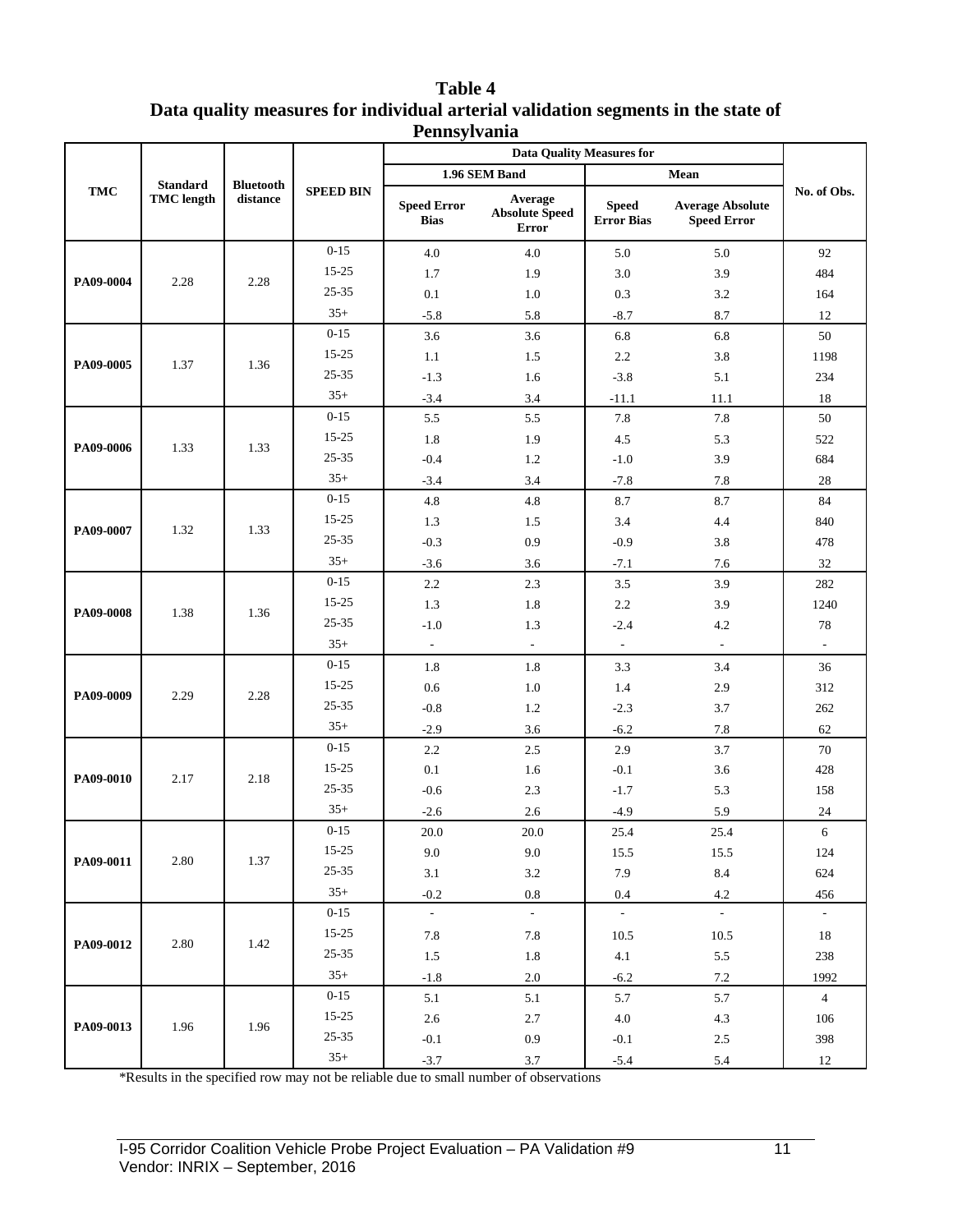| <b>Table 4</b>                                                                    |
|-----------------------------------------------------------------------------------|
| Data quality measures for individual arterial validation segments in the state of |
| Pennsylvania                                                                      |

|            |                   |                  |                  |                                   | <b>Data Quality Measures for</b>                 |                                   |                                               |                          |
|------------|-------------------|------------------|------------------|-----------------------------------|--------------------------------------------------|-----------------------------------|-----------------------------------------------|--------------------------|
|            | <b>Standard</b>   | <b>Bluetooth</b> |                  |                                   | 1.96 SEM Band                                    |                                   | Mean                                          |                          |
| <b>TMC</b> | <b>TMC</b> length | distance         | <b>SPEED BIN</b> | <b>Speed Error</b><br><b>Bias</b> | Average<br><b>Absolute Speed</b><br><b>Error</b> | <b>Speed</b><br><b>Error Bias</b> | <b>Average Absolute</b><br><b>Speed Error</b> | No. of Obs.              |
|            |                   |                  | $0 - 15$         | 4.0                               | 4.0                                              | 5.0                               | 5.0                                           | 92                       |
| PA09-0004  | 2.28              | 2.28             | $15 - 25$        | 1.7                               | 1.9                                              | 3.0                               | 3.9                                           | 484                      |
|            |                   |                  | 25-35            | 0.1                               | 1.0                                              | 0.3                               | 3.2                                           | 164                      |
|            |                   |                  | $35+$            | $-5.8$                            | 5.8                                              | $-8.7$                            | 8.7                                           | 12                       |
|            |                   |                  | $0 - 15$         | 3.6                               | 3.6                                              | 6.8                               | 6.8                                           | 50                       |
| PA09-0005  | 1.37              | 1.36             | 15-25            | 1.1                               | 1.5                                              | 2.2                               | 3.8                                           | 1198                     |
|            |                   |                  | 25-35            | $-1.3$                            | 1.6                                              | $-3.8$                            | 5.1                                           | 234                      |
|            |                   |                  | $35+$            | $-3.4$                            | 3.4                                              | $-11.1$                           | 11.1                                          | 18                       |
|            |                   |                  | $0 - 15$         | 5.5                               | 5.5                                              | 7.8                               | 7.8                                           | 50                       |
| PA09-0006  | 1.33              | 1.33             | $15 - 25$        | 1.8                               | 1.9                                              | 4.5                               | 5.3                                           | 522                      |
|            |                   |                  | $25 - 35$        | $-0.4$                            | 1.2                                              | $-1.0$                            | 3.9                                           | 684                      |
|            |                   |                  | $35+$            | $-3.4$                            | 3.4                                              | $-7.8$                            | 7.8                                           | $28\,$                   |
|            |                   |                  | $0 - 15$         | 4.8                               | 4.8                                              | 8.7                               | 8.7                                           | 84                       |
| PA09-0007  | 1.32              | 1.33             | 15-25            | 1.3                               | 1.5                                              | 3.4                               | 4.4                                           | 840                      |
|            |                   |                  | 25-35            | $-0.3$                            | 0.9                                              | $-0.9$                            | 3.8                                           | 478                      |
|            |                   |                  | $35+$            | $-3.6$                            | 3.6                                              | $-7.1$                            | 7.6                                           | 32                       |
|            |                   | 1.36             | $0 - 15$         | 2.2                               | 2.3                                              | 3.5                               | 3.9                                           | 282                      |
| PA09-0008  | 1.38              |                  | $15 - 25$        | 1.3                               | 1.8                                              | 2.2                               | 3.9                                           | 1240                     |
|            |                   |                  | $25 - 35$        | $-1.0$                            | 1.3                                              | $-2.4$                            | 4.2                                           | 78                       |
|            |                   |                  | $35+$            | $\sim$                            | $\overline{\phantom{a}}$                         | $\overline{\phantom{a}}$          | $\overline{\phantom{a}}$                      | $\overline{\phantom{a}}$ |
|            |                   |                  | $0 - 15$         | 1.8                               | 1.8                                              | 3.3                               | 3.4                                           | 36                       |
| PA09-0009  | 2.29              | 2.28             | 15-25            | 0.6                               | 1.0                                              | 1.4                               | 2.9                                           | 312                      |
|            |                   |                  | 25-35            | $-0.8$                            | 1.2                                              | $-2.3$                            | 3.7                                           | 262                      |
|            |                   |                  | $35+$            | $-2.9$                            | 3.6                                              | $-6.2$                            | 7.8                                           | 62                       |
|            |                   |                  | $0 - 15$         | 2.2                               | 2.5                                              | 2.9                               | 3.7                                           | 70                       |
| PA09-0010  | 2.17              | 2.18             | $15 - 25$        | 0.1                               | 1.6                                              | $-0.1$                            | 3.6                                           | 428                      |
|            |                   |                  | $25 - 35$        | $-0.6$                            | 2.3                                              | $-1.7$                            | 5.3                                           | 158                      |
|            |                   |                  | $35+$            | $-2.6$                            | 2.6                                              | $-4.9$                            | 5.9                                           | $24\,$                   |
|            |                   |                  | $0 - 15$         | 20.0                              | 20.0                                             | 25.4                              | 25.4                                          | 6                        |
| PA09-0011  | 2.80              | 1.37             | 15-25            | 9.0                               | 9.0                                              | 15.5                              | 15.5                                          | 124                      |
|            |                   |                  | $25 - 35$        | $3.1\,$                           | $3.2\,$                                          | 7.9                               | $8.4\,$                                       | 624                      |
|            |                   |                  | $35+$            | $-0.2$                            | $\rm 0.8$                                        | 0.4                               | $4.2\,$                                       | 456                      |
|            |                   |                  | $0 - 15$         | $\omega_{\rm c}$                  | $\sim$                                           | $\omega$                          | $\omega_{\rm c}$                              | $\sim$                   |
| PA09-0012  | 2.80              | 1.42             | $15 - 25$        | 7.8                               | 7.8                                              | 10.5                              | 10.5                                          | 18                       |
|            |                   |                  | $25 - 35$        | 1.5                               | $1.8\,$                                          | 4.1                               | $5.5\,$                                       | 238                      |
|            |                   |                  | $35+$            | $-1.8$                            | $2.0\,$                                          | $-6.2$                            | $7.2\,$                                       | 1992                     |
|            |                   |                  | $0 - 15$         | 5.1                               | 5.1                                              | 5.7                               | 5.7                                           | $\overline{4}$           |
| PA09-0013  | 1.96              | 1.96             | $15-25$          | $2.6\,$                           | $2.7\,$                                          | $4.0\,$                           | 4.3                                           | 106                      |
|            |                   |                  | $25 - 35$        | $-0.1$                            | $0.9\,$                                          | $-0.1$                            | $2.5\,$                                       | 398                      |
|            |                   |                  | $35+$            | $-3.7$                            | 3.7                                              | $-5.4$                            | 5.4                                           | 12                       |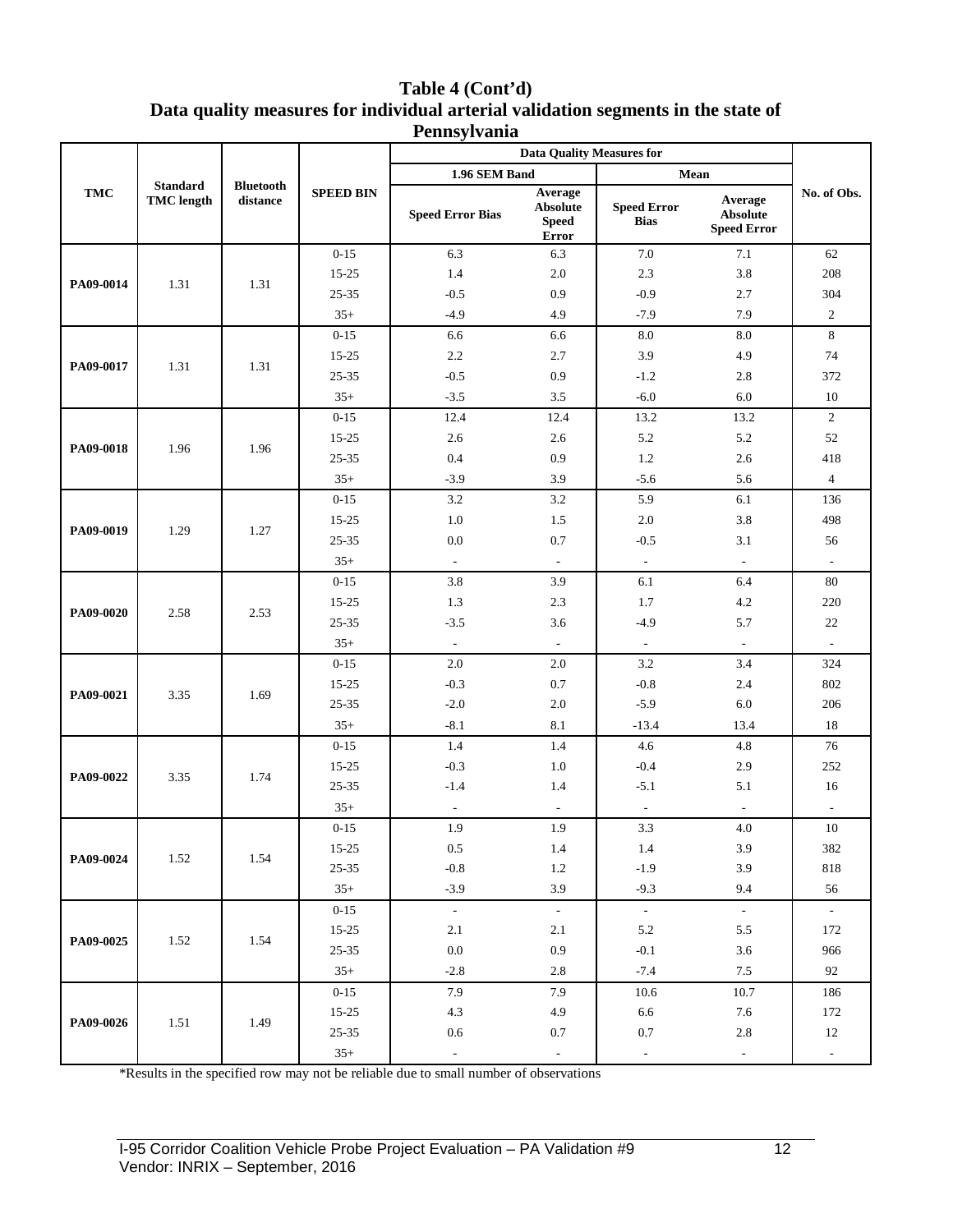#### **Table 4 (Cont'd) Data quality measures for individual arterial validation segments in the state of Pennsylvania**

|            |                                      |                              |                  | <b>Data Ouality Measures for</b> |                                                     |                                   |                                                  |                             |
|------------|--------------------------------------|------------------------------|------------------|----------------------------------|-----------------------------------------------------|-----------------------------------|--------------------------------------------------|-----------------------------|
|            |                                      |                              |                  | 1.96 SEM Band                    |                                                     | Mean                              |                                                  |                             |
| <b>TMC</b> | <b>Standard</b><br><b>TMC</b> length | <b>Bluetooth</b><br>distance | <b>SPEED BIN</b> | <b>Speed Error Bias</b>          | Average<br><b>Absolute</b><br><b>Speed</b><br>Error | <b>Speed Error</b><br><b>Bias</b> | Average<br><b>Absolute</b><br><b>Speed Error</b> | No. of Obs.                 |
|            |                                      |                              | $0 - 15$         | 6.3                              | 6.3                                                 | $7.0\,$                           | 7.1                                              | 62                          |
| PA09-0014  | 1.31                                 | 1.31                         | 15-25            | 1.4                              | 2.0                                                 | 2.3                               | 3.8                                              | 208                         |
|            |                                      |                              | $25 - 35$        | $-0.5$                           | 0.9                                                 | $-0.9$                            | 2.7                                              | 304                         |
|            |                                      |                              | $35+$            | $-4.9$                           | 4.9                                                 | $-7.9$                            | 7.9                                              | $\mathfrak{2}$              |
|            |                                      |                              | $0 - 15$         | 6.6                              | 6.6                                                 | 8.0                               | 8.0                                              | 8                           |
| PA09-0017  | 1.31                                 | 1.31                         | 15-25            | 2.2                              | 2.7                                                 | 3.9                               | 4.9                                              | 74                          |
|            |                                      |                              | $25 - 35$        | $-0.5$                           | 0.9                                                 | $-1.2$                            | 2.8                                              | 372                         |
|            |                                      |                              | $35+$            | $-3.5$                           | 3.5                                                 | $-6.0$                            | 6.0                                              | 10                          |
|            |                                      |                              | $0 - 15$         | 12.4                             | 12.4                                                | 13.2                              | 13.2                                             | $\overline{2}$              |
| PA09-0018  | 1.96                                 | 1.96                         | $15 - 25$        | 2.6                              | 2.6                                                 | 5.2                               | 5.2                                              | 52                          |
|            |                                      |                              | 25-35            | 0.4                              | 0.9                                                 | 1.2                               | 2.6                                              | 418                         |
|            |                                      |                              | $35+$            | $-3.9$                           | 3.9                                                 | $-5.6$                            | 5.6                                              | $\overline{4}$              |
|            |                                      |                              | $0 - 15$         | 3.2                              | 3.2                                                 | 5.9                               | 6.1                                              | 136                         |
| PA09-0019  | 1.29                                 | 1.27                         | $15 - 25$        | 1.0                              | 1.5                                                 | 2.0                               | 3.8                                              | 498                         |
|            |                                      |                              | 25-35            | 0.0                              | 0.7                                                 | $-0.5$                            | 3.1                                              | 56                          |
|            |                                      |                              | $35+$            | $\overline{\phantom{a}}$         | $\overline{\phantom{a}}$                            | $\overline{\phantom{a}}$          | $\overline{\phantom{a}}$                         | $\overline{\phantom{a}}$    |
|            |                                      | 2.53                         | $0 - 15$         | 3.8                              | 3.9                                                 | 6.1                               | 6.4                                              | 80                          |
| PA09-0020  | 2.58                                 |                              | $15 - 25$        | 1.3                              | 2.3                                                 | 1.7                               | 4.2                                              | 220                         |
|            |                                      |                              | $25 - 35$        | $-3.5$                           | 3.6                                                 | $-4.9$                            | 5.7                                              | 22                          |
|            |                                      |                              | $35+$            | $\mathbb{L}$                     | $\mathcal{L}$                                       | $\overline{\phantom{a}}$          | $\mathcal{L}^{\mathcal{A}}$                      | $\mathcal{L}^{\mathcal{A}}$ |
|            |                                      |                              | $0 - 15$         | 2.0                              | $2.0\,$                                             | 3.2                               | 3.4                                              | 324                         |
| PA09-0021  | 3.35                                 | 1.69                         | 15-25            | $-0.3$                           | 0.7                                                 | $-0.8$                            | 2.4                                              | 802                         |
|            |                                      |                              | $25 - 35$        | $-2.0$                           | 2.0                                                 | $-5.9$                            | 6.0                                              | 206                         |
|            |                                      |                              | $35+$            | $-8.1$                           | 8.1                                                 | $-13.4$                           | 13.4                                             | 18                          |
|            |                                      |                              | $0 - 15$         | 1.4                              | 1.4                                                 | 4.6                               | 4.8                                              | 76                          |
| PA09-0022  | 3.35                                 | 1.74                         | 15-25            | $-0.3$                           | 1.0                                                 | $-0.4$                            | 2.9                                              | 252                         |
|            |                                      |                              | $25 - 35$        | $-1.4$                           | 1.4                                                 | $-5.1$                            | 5.1                                              | 16                          |
|            |                                      |                              | $35+$            | $\overline{\phantom{a}}$         | $\sim$                                              | $\overline{\phantom{a}}$          | $\mathcal{L}^{\mathcal{A}}$                      | $\sim$                      |
|            |                                      |                              | $0 - 15$         | 1.9                              | 1.9                                                 | 3.3                               | 4.0                                              | 10                          |
| PA09-0024  | 1.52                                 | 1.54                         | $15 - 25$        | 0.5                              | 1.4                                                 | 1.4                               | $3.9\,$                                          | 382                         |
|            |                                      |                              | $25 - 35$        | $-0.8$                           | $1.2\,$                                             | $-1.9$                            | 3.9                                              | 818                         |
|            |                                      |                              | $35+$            | $-3.9$                           | 3.9                                                 | $-9.3$                            | 9.4                                              | 56                          |
|            |                                      |                              | $0 - 15$         | $\mathcal{A}^{\mathcal{A}}$      | $\sim$                                              | $\sim$                            | $\omega$                                         | $\omega_{\rm c}$            |
| PA09-0025  | 1.52                                 | 1.54                         | $15 - 25$        | 2.1                              | 2.1                                                 | 5.2                               | $5.5\,$                                          | 172                         |
|            |                                      |                              | $25 - 35$        | $0.0\,$                          | $0.9\,$                                             | $-0.1$                            | $3.6\,$                                          | 966                         |
|            |                                      |                              | $35+$            | $-2.8$                           | $2.8\,$                                             | $-7.4$                            | $7.5\,$                                          | 92                          |
|            |                                      |                              | $0 - 15$         | 7.9                              | 7.9                                                 | 10.6                              | 10.7                                             | 186                         |
| PA09-0026  | 1.51                                 |                              | $15 - 25$        | 4.3                              | 4.9                                                 | 6.6                               | 7.6                                              | 172                         |
|            |                                      | 1.49                         | $25 - 35$        | 0.6                              | 0.7                                                 | 0.7                               | $2.8\,$                                          | 12                          |
|            |                                      |                              | $35+$            | $\blacksquare$                   | $\overline{\phantom{a}}$                            | $\overline{\phantom{a}}$          | $\blacksquare$                                   | $\blacksquare$              |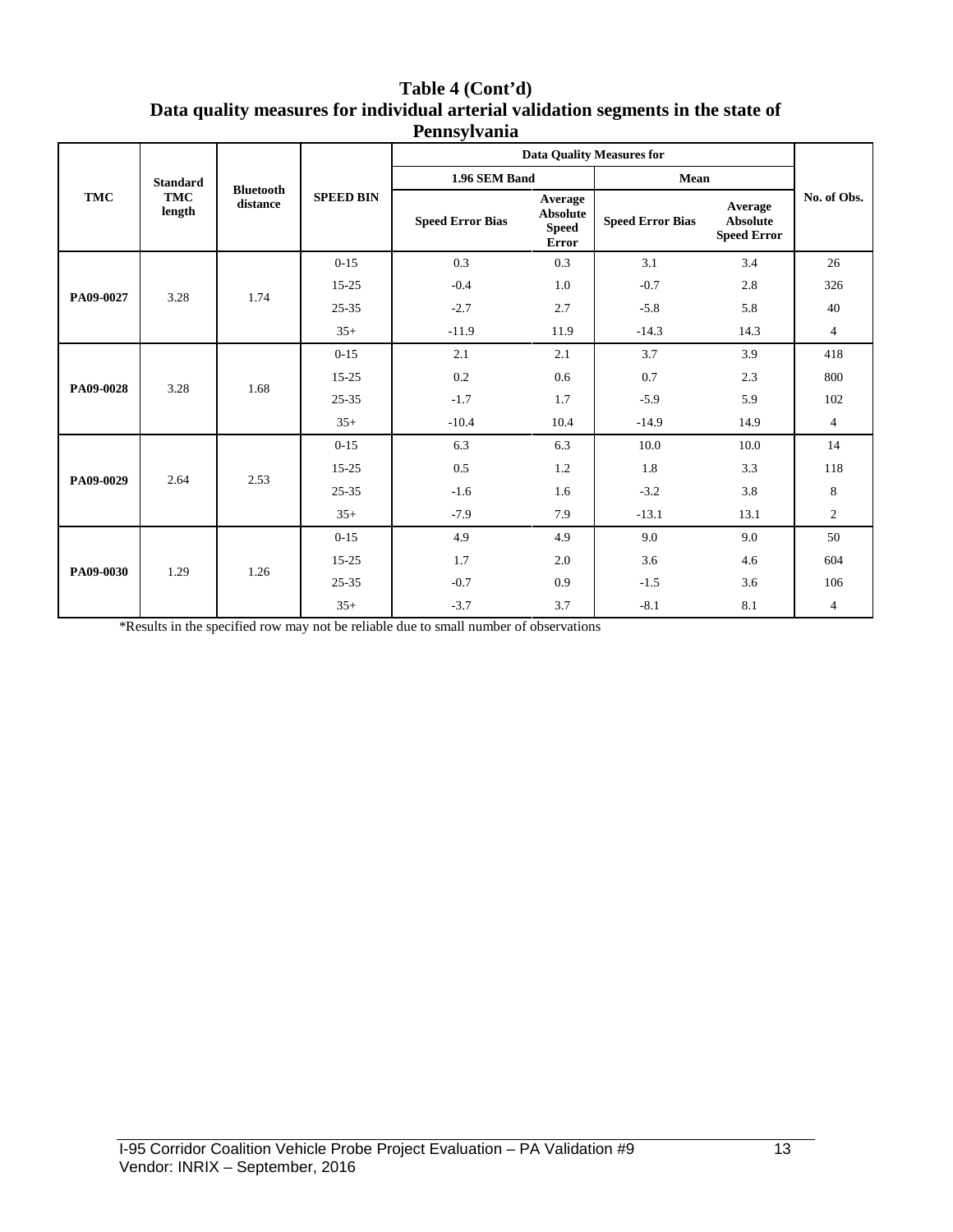| Table 4 (Cont'd)                                                                  |
|-----------------------------------------------------------------------------------|
| Data quality measures for individual arterial validation segments in the state of |
| Pennsylvania                                                                      |

|            |                      |                              |                  | <b>Data Quality Measures for</b> |                                                            |                         |                                                  |                |
|------------|----------------------|------------------------------|------------------|----------------------------------|------------------------------------------------------------|-------------------------|--------------------------------------------------|----------------|
| <b>TMC</b> | <b>Standard</b>      |                              |                  | 1.96 SEM Band                    |                                                            | Mean                    |                                                  |                |
|            | <b>TMC</b><br>length | <b>Bluetooth</b><br>distance | <b>SPEED BIN</b> | <b>Speed Error Bias</b>          | Average<br><b>Absolute</b><br><b>Speed</b><br><b>Error</b> | <b>Speed Error Bias</b> | Average<br><b>Absolute</b><br><b>Speed Error</b> | No. of Obs.    |
|            |                      |                              | $0 - 15$         | 0.3                              | 0.3                                                        | 3.1                     | 3.4                                              | 26             |
|            | 3.28                 |                              | $15 - 25$        | $-0.4$                           | 1.0                                                        | $-0.7$                  | 2.8                                              | 326            |
| PA09-0027  |                      | 1.74                         | $25 - 35$        | $-2.7$                           | 2.7                                                        | $-5.8$                  | 5.8                                              | 40             |
|            |                      |                              | $35+$            | $-11.9$                          | 11.9                                                       | $-14.3$                 | 14.3                                             | $\overline{4}$ |
| PA09-0028  | 3.28                 | 1.68                         | $0 - 15$         | 2.1                              | 2.1                                                        | 3.7                     | 3.9                                              | 418            |
|            |                      |                              | 15-25            | 0.2                              | 0.6                                                        | 0.7                     | 2.3                                              | 800            |
|            |                      |                              | $25 - 35$        | $-1.7$                           | 1.7                                                        | $-5.9$                  | 5.9                                              | 102            |
|            |                      |                              | $35+$            | $-10.4$                          | 10.4                                                       | $-14.9$                 | 14.9                                             | $\overline{4}$ |
| PA09-0029  |                      |                              | $0 - 15$         | 6.3                              | 6.3                                                        | 10.0                    | 10.0                                             | 14             |
|            | 2.64                 | 2.53                         | 15-25            | 0.5                              | 1.2                                                        | 1.8                     | 3.3                                              | 118            |
|            |                      |                              | 25-35            | $-1.6$                           | 1.6                                                        | $-3.2$                  | 3.8                                              | 8              |
|            |                      |                              | $35+$            | $-7.9$                           | 7.9                                                        | $-13.1$                 | 13.1                                             | $\mathfrak{2}$ |
| PA09-0030  | 1.29                 |                              | $0 - 15$         | 4.9                              | 4.9                                                        | 9.0                     | 9.0                                              | 50             |
|            |                      | 1.26                         | 15-25            | 1.7                              | 2.0                                                        | 3.6                     | 4.6                                              | 604            |
|            |                      |                              | 25-35            | $-0.7$                           | 0.9                                                        | $-1.5$                  | 3.6                                              | 106            |
|            |                      |                              | $35+$            | $-3.7$                           | 3.7                                                        | $-8.1$                  | 8.1                                              | $\overline{4}$ |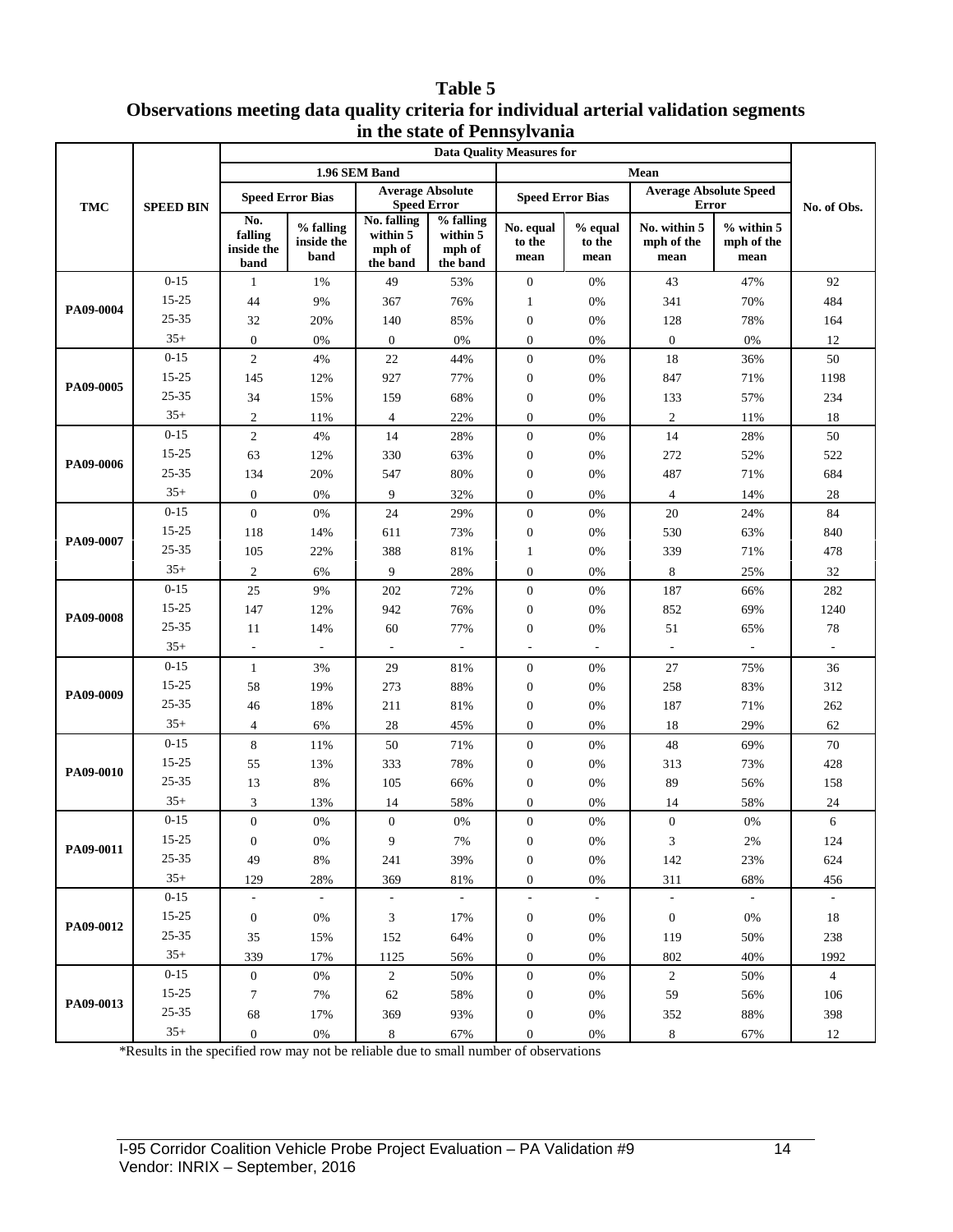#### **Table 5 Observations meeting data quality criteria for individual arterial validation segments in the state of Pennsylvania**

|            |                  | ш ик заак от 1 спизуттанна<br><b>Data Quality Measures for</b> |                                 |                                                                     |                                             |                                  |                           |                                             |                                      |                |  |
|------------|------------------|----------------------------------------------------------------|---------------------------------|---------------------------------------------------------------------|---------------------------------------------|----------------------------------|---------------------------|---------------------------------------------|--------------------------------------|----------------|--|
|            |                  | 1.96 SEM Band                                                  |                                 |                                                                     |                                             |                                  |                           |                                             |                                      |                |  |
|            |                  | <b>Speed Error Bias</b>                                        |                                 | <b>Average Absolute</b>                                             |                                             | <b>Speed Error Bias</b>          |                           | Mean<br><b>Average Absolute Speed</b>       |                                      |                |  |
| <b>TMC</b> | <b>SPEED BIN</b> | No.<br>falling<br>inside the<br>band                           | % falling<br>inside the<br>band | <b>Speed Error</b><br>No. falling<br>within 5<br>mph of<br>the band | % falling<br>within 5<br>mph of<br>the band | No. equal<br>to the<br>mean      | % equal<br>to the<br>mean | Error<br>No. within 5<br>mph of the<br>mean | $%$ within $5$<br>mph of the<br>mean | No. of Obs.    |  |
|            | $0 - 15$         | 1                                                              | 1%                              | 49                                                                  | 53%                                         | $\boldsymbol{0}$                 | 0%                        | 43                                          | 47%                                  | 92             |  |
|            | 15-25            | 44                                                             | 9%                              | 367                                                                 | 76%                                         | $\mathbf{1}$                     | 0%                        | 341                                         | 70%                                  | 484            |  |
| PA09-0004  | 25-35            | 32                                                             | 20%                             | 140                                                                 | 85%                                         | $\boldsymbol{0}$                 | 0%                        | 128                                         | 78%                                  | 164            |  |
|            | $35+$            | $\boldsymbol{0}$                                               | $0\%$                           | $\mathbf{0}$                                                        | 0%                                          | $\overline{0}$                   | 0%                        | $\mathbf{0}$                                | $0\%$                                | 12             |  |
|            | $0 - 15$         | $\sqrt{2}$                                                     | 4%                              | 22                                                                  | 44%                                         | $\boldsymbol{0}$                 | 0%                        | 18                                          | 36%                                  | 50             |  |
| PA09-0005  | 15-25            | 145                                                            | 12%                             | 927                                                                 | 77%                                         | $\boldsymbol{0}$                 | 0%                        | 847                                         | 71%                                  | 1198           |  |
|            | 25-35            | 34                                                             | 15%                             | 159                                                                 | 68%                                         | $\boldsymbol{0}$                 | 0%                        | 133                                         | 57%                                  | 234            |  |
|            | $35+$            | $\sqrt{2}$                                                     | 11%                             | $\overline{4}$                                                      | 22%                                         | $\overline{0}$                   | 0%                        | $\sqrt{2}$                                  | 11%                                  | 18             |  |
|            | $0 - 15$         | $\sqrt{2}$                                                     | $4\%$                           | 14                                                                  | 28%                                         | $\boldsymbol{0}$                 | 0%                        | 14                                          | 28%                                  | $50\,$         |  |
| PA09-0006  | 15-25            | 63                                                             | 12%                             | 330                                                                 | 63%                                         | $\boldsymbol{0}$                 | 0%                        | 272                                         | 52%                                  | 522            |  |
|            | 25-35            | 134                                                            | 20%                             | 547                                                                 | 80%                                         | $\boldsymbol{0}$                 | 0%                        | 487                                         | 71%                                  | 684            |  |
|            | $35+$            | $\boldsymbol{0}$                                               | 0%                              | 9                                                                   | 32%                                         | $\theta$                         | 0%                        | $\overline{4}$                              | 14%                                  | $28\,$         |  |
|            | $0 - 15$         | $\boldsymbol{0}$                                               | $0\%$                           | 24                                                                  | 29%                                         | $\boldsymbol{0}$                 | 0%                        | 20                                          | 24%                                  | 84             |  |
| PA09-0007  | 15-25            | 118                                                            | 14%                             | 611                                                                 | 73%                                         | $\boldsymbol{0}$                 | 0%                        | 530                                         | 63%                                  | 840            |  |
|            | 25-35            | 105                                                            | 22%                             | 388                                                                 | 81%                                         | $\mathbf{1}$                     | 0%                        | 339                                         | 71%                                  | 478            |  |
|            | $35+$            | $\boldsymbol{2}$                                               | 6%                              | 9                                                                   | 28%                                         | $\boldsymbol{0}$                 | 0%                        | 8                                           | 25%                                  | 32             |  |
|            | $0 - 15$         | $25\,$                                                         | $9\%$                           | 202                                                                 | 72%                                         | $\boldsymbol{0}$                 | $0\%$                     | 187                                         | 66%                                  | 282            |  |
| PA09-0008  | 15-25            | 147                                                            | 12%                             | 942                                                                 | 76%                                         | $\boldsymbol{0}$                 | 0%                        | 852                                         | 69%                                  | 1240           |  |
|            | 25-35            | 11                                                             | 14%                             | 60                                                                  | 77%                                         | $\boldsymbol{0}$                 | 0%                        | 51                                          | 65%                                  | $78\,$         |  |
|            | $35+$            | $\overline{\phantom{a}}$                                       |                                 | ÷                                                                   | $\mathcal{L}$                               | $\sim$                           |                           | $\overline{\phantom{a}}$                    |                                      |                |  |
|            | $0 - 15$         | $\mathbf{1}$                                                   | 3%                              | 29                                                                  | 81%                                         | $\boldsymbol{0}$                 | $0\%$                     | 27                                          | 75%                                  | 36             |  |
| PA09-0009  | 15-25            | 58                                                             | 19%                             | 273                                                                 | 88%                                         | $\boldsymbol{0}$                 | 0%                        | 258                                         | 83%                                  | 312            |  |
|            | 25-35            | 46                                                             | 18%                             | 211                                                                 | 81%                                         | $\boldsymbol{0}$                 | 0%                        | 187                                         | 71%                                  | 262            |  |
|            | $35+$            | $\overline{4}$                                                 | 6%                              | 28                                                                  | 45%                                         | $\overline{0}$                   | 0%                        | 18                                          | 29%                                  | 62             |  |
|            | $0 - 15$         | $\,8\,$                                                        | 11%                             | 50                                                                  | 71%                                         | $\boldsymbol{0}$                 | 0%                        | 48                                          | 69%                                  | 70             |  |
| PA09-0010  | 15-25<br>25-35   | 55                                                             | 13%                             | 333                                                                 | 78%                                         | $\boldsymbol{0}$                 | 0%                        | 313                                         | 73%                                  | 428            |  |
|            | $35+$            | 13                                                             | $8\%$                           | 105                                                                 | 66%                                         | $\boldsymbol{0}$                 | 0%                        | 89                                          | 56%                                  | 158            |  |
|            | $0 - 15$         | $\mathfrak{Z}$<br>$\overline{0}$                               | 13%<br>$0\%$                    | 14<br>$\overline{0}$                                                | 58%<br>$0\%$                                | $\overline{0}$<br>$\overline{0}$ | 0%<br>0%                  | 14<br>$\mathbf{0}$                          | 58%<br>$0\%$                         | $24\,$<br>6    |  |
|            | 15-25            | $\boldsymbol{0}$                                               | 0%                              | 9                                                                   | 7%                                          | 0                                | 0%                        | 3                                           | 2%                                   | 124            |  |
| PA09-0011  | 25-35            | 49                                                             | 8%                              | 241                                                                 | 39%                                         | $\boldsymbol{0}$                 | 0%                        | 142                                         | 23%                                  | 624            |  |
|            | $35+$            | 129                                                            | 28%                             | 369                                                                 | 81%                                         | $\boldsymbol{0}$                 | $0\%$                     | 311                                         | 68%                                  | 456            |  |
|            | $0 - 15$         | $\overline{\phantom{a}}$                                       | $\sim$                          | $\sim$                                                              | $\mathbb{Z}^{\mathbb{Z}}$                   | $\Box$                           | $\sim$                    | $\mathbb{L}$                                | $\omega$                             | $\sim$         |  |
|            | $15 - 25$        | $\boldsymbol{0}$                                               | 0%                              | $\sqrt{3}$                                                          | 17%                                         | $\boldsymbol{0}$                 | 0%                        | $\mathbf{0}$                                | $0\%$                                | 18             |  |
| PA09-0012  | $25 - 35$        | 35                                                             | 15%                             | 152                                                                 | 64%                                         | $\boldsymbol{0}$                 | 0%                        | 119                                         | 50%                                  | 238            |  |
|            | $35+$            | 339                                                            | 17%                             | 1125                                                                | 56%                                         | $\boldsymbol{0}$                 | 0%                        | 802                                         | 40%                                  | 1992           |  |
|            | $0 - 15$         | $\boldsymbol{0}$                                               | 0%                              | $\overline{c}$                                                      | 50%                                         | $\boldsymbol{0}$                 | 0%                        | 2                                           | 50%                                  | $\overline{4}$ |  |
|            | $15 - 25$        | $\tau$                                                         | 7%                              | 62                                                                  | 58%                                         | 0                                | 0%                        | 59                                          | 56%                                  | 106            |  |
| PA09-0013  | 25-35            | 68                                                             | 17%                             | 369                                                                 | 93%                                         | $\boldsymbol{0}$                 | 0%                        | 352                                         | 88%                                  | 398            |  |
|            | $35+$            | $\boldsymbol{0}$                                               | $0\%$                           | 8                                                                   | 67%                                         | $\boldsymbol{0}$                 | $0\%$                     | 8                                           | 67%                                  | 12             |  |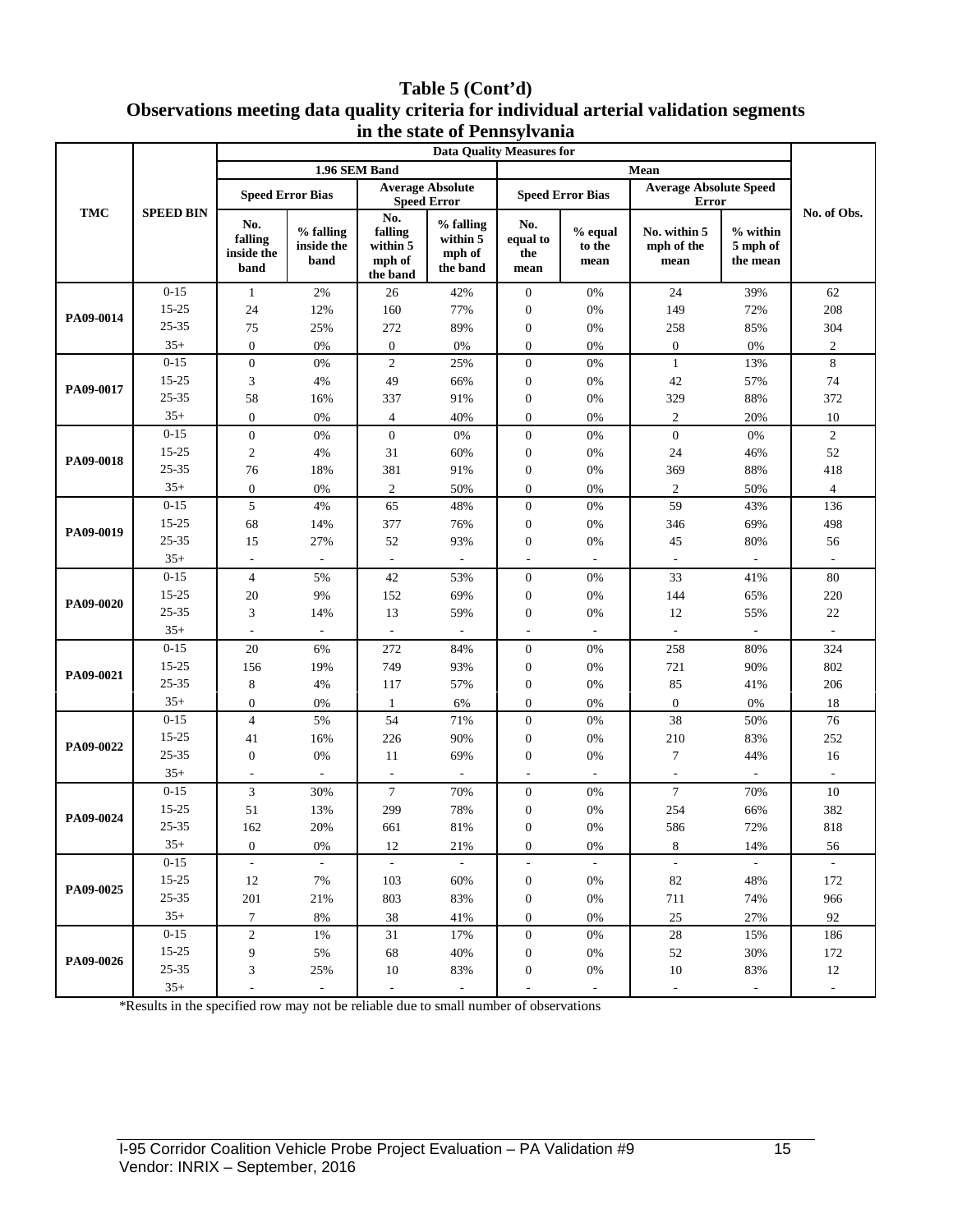#### **Table 5 (Cont'd) Observations meeting data quality criteria for individual arterial validation segments in the state of Pennsylvania**

|           | m me state of I embyrvania<br><b>Data Quality Measures for</b> |                                      |                                 |                                                  |                                             |                                                  |                             |                                               |                                  |                          |
|-----------|----------------------------------------------------------------|--------------------------------------|---------------------------------|--------------------------------------------------|---------------------------------------------|--------------------------------------------------|-----------------------------|-----------------------------------------------|----------------------------------|--------------------------|
| TMC       | <b>SPEED BIN</b>                                               | 1.96 SEM Band                        |                                 |                                                  |                                             |                                                  |                             |                                               |                                  |                          |
|           |                                                                | <b>Speed Error Bias</b>              |                                 | <b>Speed Error</b>                               | <b>Average Absolute</b>                     |                                                  | <b>Speed Error Bias</b>     | <b>Average Absolute Speed</b><br><b>Error</b> |                                  |                          |
|           |                                                                | No.<br>falling<br>inside the<br>band | % falling<br>inside the<br>band | No.<br>falling<br>within 5<br>mph of<br>the band | % falling<br>within 5<br>mph of<br>the band | No.<br>equal to<br>the<br>mean                   | $%$ equal<br>to the<br>mean | No. within 5<br>mph of the<br>mean            | % within<br>5 mph of<br>the mean | No. of Obs.              |
| PA09-0014 | $0 - 15$                                                       | $\mathbf{1}$                         | $2\%$                           | 26                                               | 42%                                         | $\mathbf{0}$                                     | 0%                          | 24                                            | 39%                              | 62                       |
|           | 15-25                                                          | $24\,$                               | 12%                             | 160                                              | 77%                                         | $\boldsymbol{0}$                                 | $0\%$                       | 149                                           | 72%                              | 208                      |
|           | 25-35                                                          | 75                                   | 25%                             | 272                                              | 89%                                         | $\boldsymbol{0}$                                 | 0%                          | 258                                           | 85%                              | 304                      |
|           | $35+$                                                          | $\boldsymbol{0}$                     | 0%                              | $\mathbf{0}$                                     | 0%                                          | $\overline{0}$                                   | 0%                          | $\boldsymbol{0}$                              | 0%                               | $\overline{c}$           |
|           | $0 - 15$                                                       | $\boldsymbol{0}$                     | $0\%$                           | $\mathbf{2}$                                     | 25%                                         | $\mathbf{0}$                                     | 0%                          | $\mathbf{1}$                                  | 13%                              | 8                        |
| PA09-0017 | $15 - 25$                                                      | 3                                    | 4%                              | 49                                               | 66%                                         | $\mathbf{0}$                                     | 0%                          | 42                                            | 57%                              | 74                       |
|           | 25-35                                                          | 58                                   | 16%                             | 337                                              | 91%                                         | $\boldsymbol{0}$                                 | $0\%$                       | 329                                           | 88%                              | 372                      |
|           | $35+$                                                          | $\boldsymbol{0}$                     | 0%                              | 4                                                | 40%                                         | $\boldsymbol{0}$                                 | 0%                          | $\mathfrak{2}$                                | 20%                              | 10                       |
|           | $0 - 15$                                                       | $\boldsymbol{0}$                     | 0%                              | $\mathbf{0}$                                     | $0\%$                                       | $\mathbf{0}$                                     | $0\%$                       | $\overline{0}$                                | 0%                               | $\overline{2}$           |
| PA09-0018 | $15 - 25$                                                      | $\mathbf{2}$                         | 4%                              | 31                                               | 60%                                         | $\boldsymbol{0}$                                 | $0\%$                       | 24                                            | 46%                              | 52                       |
|           | 25-35                                                          | 76                                   | 18%                             | 381                                              | 91%                                         | $\boldsymbol{0}$                                 | $0\%$                       | 369                                           | 88%                              | 418                      |
|           | $35+$<br>$0 - 15$                                              | $\overline{0}$                       | 0%                              | $\overline{c}$                                   | 50%                                         | $\theta$                                         | 0%                          | $\overline{2}$                                | 50%                              | $\overline{4}$           |
|           | $15 - 25$                                                      | 5<br>68                              | 4%<br>14%                       | 65<br>377                                        | 48%<br>76%                                  | $\boldsymbol{0}$<br>$\boldsymbol{0}$             | 0%<br>$0\%$                 | 59<br>346                                     | 43%<br>69%                       | 136<br>498               |
| PA09-0019 | 25-35                                                          | 15                                   | 27%                             | 52                                               | 93%                                         | $\mathbf{0}$                                     | 0%                          | 45                                            | 80%                              | 56                       |
|           | $35+$                                                          | $\overline{\phantom{a}}$             | $\overline{\phantom{a}}$        | $\overline{\phantom{a}}$                         | $\overline{\phantom{a}}$                    | $\overline{\phantom{a}}$                         | $\blacksquare$              | $\blacksquare$                                |                                  | $\overline{\phantom{a}}$ |
|           | $0 - 15$                                                       | $\overline{4}$                       | 5%                              | 42                                               | 53%                                         | $\overline{0}$                                   | 0%                          | 33                                            | 41%                              | 80                       |
|           | 15-25                                                          | 20                                   | 9%                              | 152                                              | 69%                                         | $\mathbf{0}$                                     | 0%                          | 144                                           | 65%                              | 220                      |
| PA09-0020 | 25-35                                                          | 3                                    | 14%                             | 13                                               | 59%                                         | $\boldsymbol{0}$                                 | $0\%$                       | 12                                            | 55%                              | $22\,$                   |
|           | $35+$                                                          | $\overline{\phantom{a}}$             | $\sim$                          | $\overline{\phantom{a}}$                         | $\overline{\phantom{a}}$                    | $\overline{a}$                                   | $\overline{\phantom{a}}$    | $\sim$                                        | $\overline{\phantom{a}}$         | $\overline{\phantom{a}}$ |
|           | $0 - 15$                                                       | 20                                   | 6%                              | 272                                              | 84%                                         | $\mathbf{0}$                                     | $0\%$                       | 258                                           | 80%                              | 324                      |
|           | $15 - 25$                                                      | 156                                  | 19%                             | 749                                              | 93%                                         | $\boldsymbol{0}$                                 | $0\%$                       | 721                                           | 90%                              | 802                      |
| PA09-0021 | 25-35                                                          | 8                                    | 4%                              | 117                                              | 57%                                         | $\boldsymbol{0}$                                 | $0\%$                       | 85                                            | 41%                              | 206                      |
|           | $35+$                                                          | $\boldsymbol{0}$                     | 0%                              | $\mathbf{1}$                                     | 6%                                          | $\mathbf{0}$                                     | 0%                          | $\boldsymbol{0}$                              | 0%                               | 18                       |
|           | $0 - 15$                                                       | $\overline{4}$                       | 5%                              | 54                                               | 71%                                         | $\mathbf{0}$                                     | $0\%$                       | 38                                            | 50%                              | 76                       |
| PA09-0022 | $15 - 25$                                                      | 41                                   | 16%                             | 226                                              | 90%                                         | $\boldsymbol{0}$                                 | $0\%$                       | 210                                           | 83%                              | 252                      |
|           | 25-35                                                          | $\boldsymbol{0}$                     | 0%                              | 11                                               | 69%                                         | $\mathbf{0}$                                     | $0\%$                       | $\tau$                                        | 44%                              | 16                       |
|           | $35+$                                                          | $\blacksquare$                       |                                 | $\overline{\phantom{a}}$                         | $\overline{\phantom{a}}$                    | $\overline{\phantom{a}}$                         | $\overline{\phantom{a}}$    | $\overline{\phantom{a}}$                      |                                  | $\overline{\phantom{a}}$ |
|           | $0 - 15$                                                       | 3                                    | 30%                             | $\tau$                                           | 70%                                         | $\mathbf{0}$                                     | 0%                          | $\tau$                                        | 70%                              | 10                       |
| PA09-0024 | $15 - 25$                                                      | 51                                   | 13%                             | 299                                              | 78%                                         | $\mathbf{0}$                                     | 0%                          | 254                                           | 66%                              | 382                      |
|           | 25-35                                                          | 162                                  | 20%                             | 661                                              | 81%                                         | $\mathbf{0}$                                     | 0%                          | 586                                           | 72%                              | 818                      |
|           | $35+$                                                          | $\boldsymbol{0}$                     | 0%                              | 12                                               | 21%                                         | $\boldsymbol{0}$                                 | $0\%$                       | $\,8\,$                                       | 14%                              | 56                       |
|           | $0 - 15$                                                       |                                      |                                 | $\overline{\phantom{a}}$                         |                                             |                                                  |                             | $\overline{\phantom{a}}$                      |                                  |                          |
| PA09-0025 | $15-25$                                                        | 12                                   | 7%                              | 103                                              | 60%                                         | $\boldsymbol{0}$                                 | $0\%$                       | 82                                            | 48%                              | 172                      |
|           | $25 - 35$                                                      | 201                                  | 21%                             | 803                                              | 83%                                         | $\boldsymbol{0}$                                 | $0\%$                       | 711                                           | 74%                              | 966                      |
|           | $35+$                                                          | $\tau$                               | 8%                              | 38                                               | 41%                                         | $\overline{0}$                                   | $0\%$                       | 25                                            | 27%                              | 92                       |
|           | $0 - 15$<br>$15 - 25$                                          | $\overline{2}$                       | 1%                              | 31                                               | 17%                                         | $\mathbf{0}$                                     | 0%                          | 28                                            | 15%                              | 186                      |
| PA09-0026 | $25 - 35$                                                      | 9                                    | 5%                              | 68                                               | 40%                                         | $\mathbf{0}$                                     | 0%                          | 52                                            | 30%                              | 172<br>12                |
|           | $35+$                                                          | 3                                    | 25%                             | 10<br>$\overline{\phantom{a}}$                   | 83%<br>$\overline{\phantom{a}}$             | $\boldsymbol{0}$<br>$\qquad \qquad \blacksquare$ | $0\%$                       | 10                                            | 83%                              | $\overline{\phantom{a}}$ |
|           |                                                                | $\overline{\phantom{a}}$             | $\overline{\phantom{a}}$        |                                                  |                                             |                                                  | $\overline{\phantom{a}}$    | $\overline{\phantom{a}}$                      | $\overline{\phantom{a}}$         |                          |